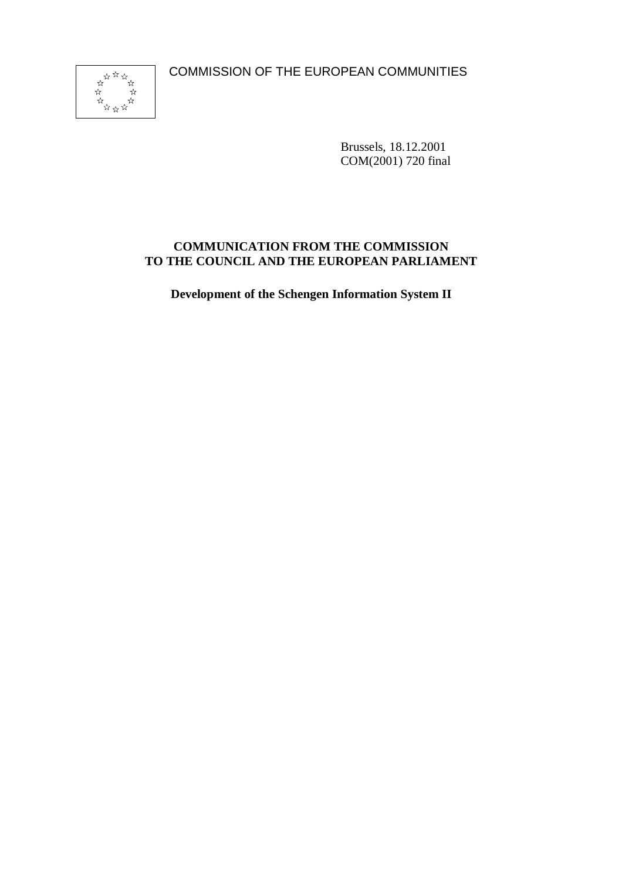COMMISSION OF THE EUROPEAN COMMUNITIES



Brussels, 18.12.2001 COM(2001) 720 final

## **COMMUNICATION FROM THE COMMISSION TO THE COUNCIL AND THE EUROPEAN PARLIAMENT**

**Development of the Schengen Information System II**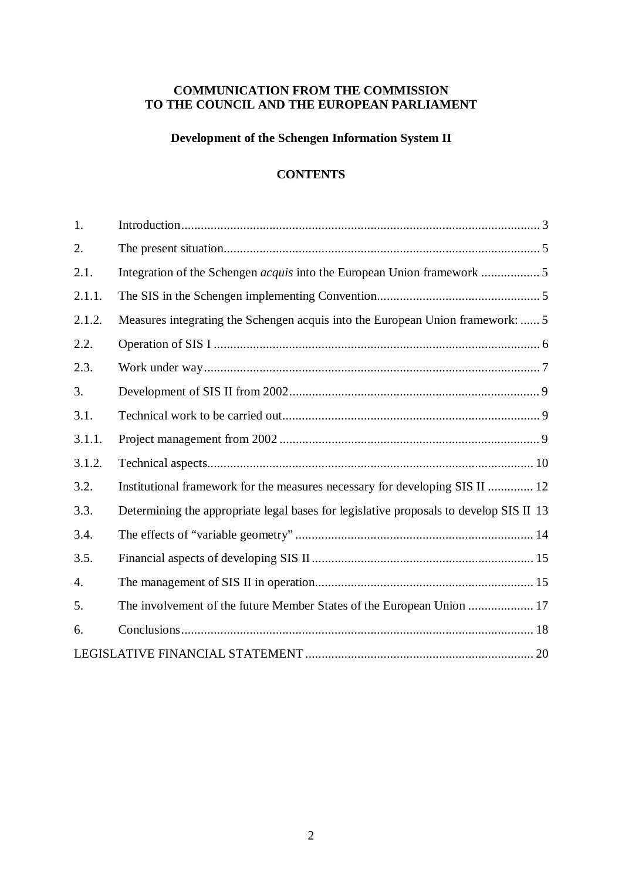## **COMMUNICATION FROM THE COMMISSION TO THE COUNCIL AND THE EUROPEAN PARLIAMENT**

## **Development of the Schengen Information System II**

### **CONTENTS**

| 1.     |                                                                                        |
|--------|----------------------------------------------------------------------------------------|
| 2.     |                                                                                        |
| 2.1.   |                                                                                        |
| 2.1.1. |                                                                                        |
| 2.1.2. | Measures integrating the Schengen acquis into the European Union framework:  5         |
| 2.2.   |                                                                                        |
| 2.3.   |                                                                                        |
| 3.     |                                                                                        |
| 3.1.   |                                                                                        |
| 3.1.1. |                                                                                        |
| 3.1.2. |                                                                                        |
| 3.2.   | Institutional framework for the measures necessary for developing SIS II  12           |
| 3.3.   | Determining the appropriate legal bases for legislative proposals to develop SIS II 13 |
| 3.4.   |                                                                                        |
| 3.5.   |                                                                                        |
| 4.     |                                                                                        |
| 5.     | The involvement of the future Member States of the European Union  17                  |
| 6.     |                                                                                        |
|        |                                                                                        |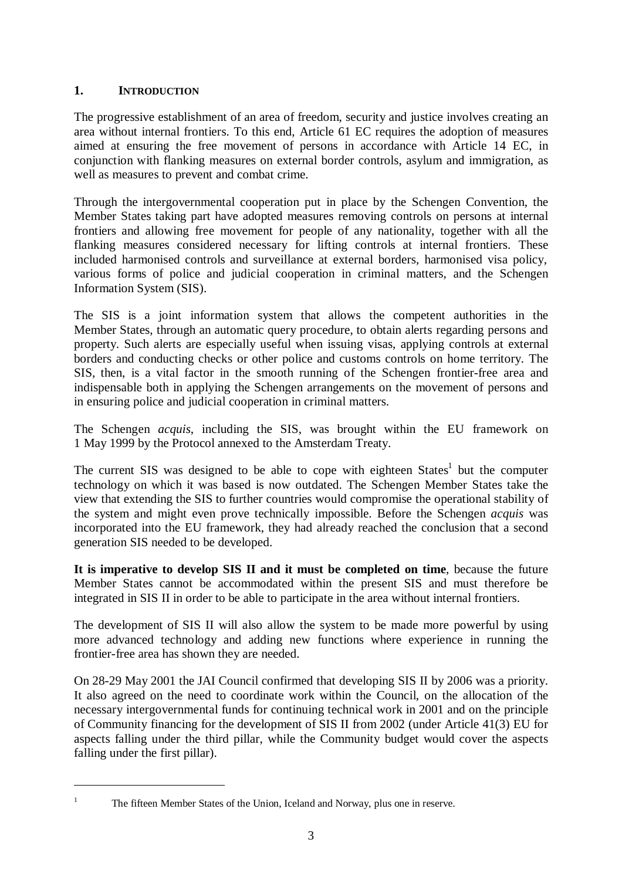## **1. INTRODUCTION**

The progressive establishment of an area of freedom, security and justice involves creating an area without internal frontiers. To this end, Article 61 EC requires the adoption of measures aimed at ensuring the free movement of persons in accordance with Article 14 EC, in conjunction with flanking measures on external border controls, asylum and immigration, as well as measures to prevent and combat crime.

Through the intergovernmental cooperation put in place by the Schengen Convention, the Member States taking part have adopted measures removing controls on persons at internal frontiers and allowing free movement for people of any nationality, together with all the flanking measures considered necessary for lifting controls at internal frontiers. These included harmonised controls and surveillance at external borders, harmonised visa policy, various forms of police and judicial cooperation in criminal matters, and the Schengen Information System (SIS).

The SIS is a joint information system that allows the competent authorities in the Member States, through an automatic query procedure, to obtain alerts regarding persons and property. Such alerts are especially useful when issuing visas, applying controls at external borders and conducting checks or other police and customs controls on home territory. The SIS, then, is a vital factor in the smooth running of the Schengen frontier-free area and indispensable both in applying the Schengen arrangements on the movement of persons and in ensuring police and judicial cooperation in criminal matters.

The Schengen *acquis*, including the SIS, was brought within the EU framework on 1 May 1999 by the Protocol annexed to the Amsterdam Treaty.

The current SIS was designed to be able to cope with eighteen  $States<sup>1</sup>$  but the computer technology on which it was based is now outdated. The Schengen Member States take the view that extending the SIS to further countries would compromise the operational stability of the system and might even prove technically impossible. Before the Schengen *acquis* was incorporated into the EU framework, they had already reached the conclusion that a second generation SIS needed to be developed.

**It is imperative to develop SIS II and it must be completed on time**, because the future Member States cannot be accommodated within the present SIS and must therefore be integrated in SIS II in order to be able to participate in the area without internal frontiers.

The development of SIS II will also allow the system to be made more powerful by using more advanced technology and adding new functions where experience in running the frontier-free area has shown they are needed.

On 28-29 May 2001 the JAI Council confirmed that developing SIS II by 2006 was a priority. It also agreed on the need to coordinate work within the Council, on the allocation of the necessary intergovernmental funds for continuing technical work in 2001 and on the principle of Community financing for the development of SIS II from 2002 (under Article 41(3) EU for aspects falling under the third pillar, while the Community budget would cover the aspects falling under the first pillar).

<sup>1</sup> The fifteen Member States of the Union, Iceland and Norway, plus one in reserve.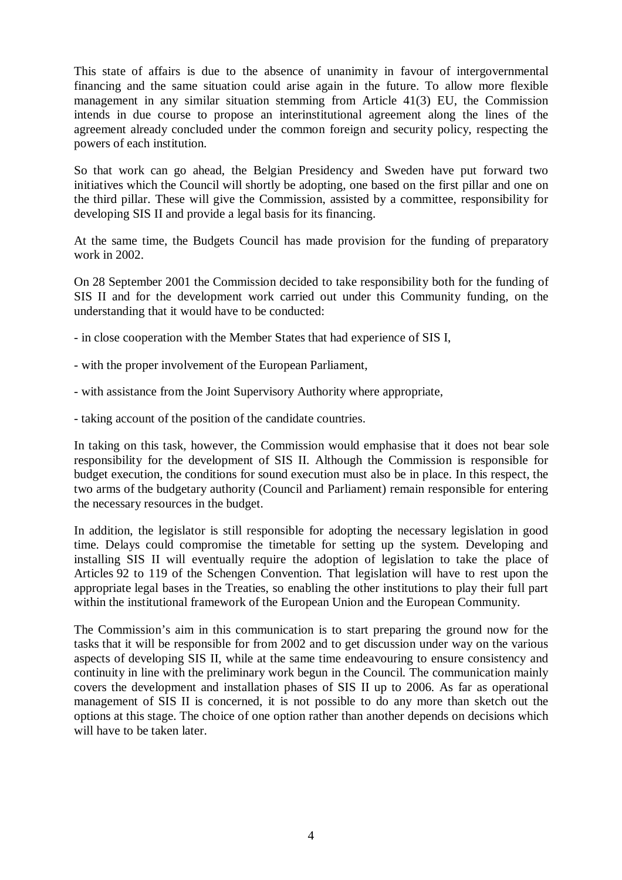This state of affairs is due to the absence of unanimity in favour of intergovernmental financing and the same situation could arise again in the future. To allow more flexible management in any similar situation stemming from Article 41(3) EU, the Commission intends in due course to propose an interinstitutional agreement along the lines of the agreement already concluded under the common foreign and security policy, respecting the powers of each institution.

So that work can go ahead, the Belgian Presidency and Sweden have put forward two initiatives which the Council will shortly be adopting, one based on the first pillar and one on the third pillar. These will give the Commission, assisted by a committee, responsibility for developing SIS II and provide a legal basis for its financing.

At the same time, the Budgets Council has made provision for the funding of preparatory work in 2002.

On 28 September 2001 the Commission decided to take responsibility both for the funding of SIS II and for the development work carried out under this Community funding, on the understanding that it would have to be conducted:

- in close cooperation with the Member States that had experience of SIS I,
- with the proper involvement of the European Parliament,
- with assistance from the Joint Supervisory Authority where appropriate,
- taking account of the position of the candidate countries.

In taking on this task, however, the Commission would emphasise that it does not bear sole responsibility for the development of SIS II. Although the Commission is responsible for budget execution, the conditions for sound execution must also be in place. In this respect, the two arms of the budgetary authority (Council and Parliament) remain responsible for entering the necessary resources in the budget.

In addition, the legislator is still responsible for adopting the necessary legislation in good time. Delays could compromise the timetable for setting up the system. Developing and installing SIS II will eventually require the adoption of legislation to take the place of Articles 92 to 119 of the Schengen Convention. That legislation will have to rest upon the appropriate legal bases in the Treaties, so enabling the other institutions to play their full part within the institutional framework of the European Union and the European Community.

The Commission's aim in this communication is to start preparing the ground now for the tasks that it will be responsible for from 2002 and to get discussion under way on the various aspects of developing SIS II, while at the same time endeavouring to ensure consistency and continuity in line with the preliminary work begun in the Council. The communication mainly covers the development and installation phases of SIS II up to 2006. As far as operational management of SIS II is concerned, it is not possible to do any more than sketch out the options at this stage. The choice of one option rather than another depends on decisions which will have to be taken later.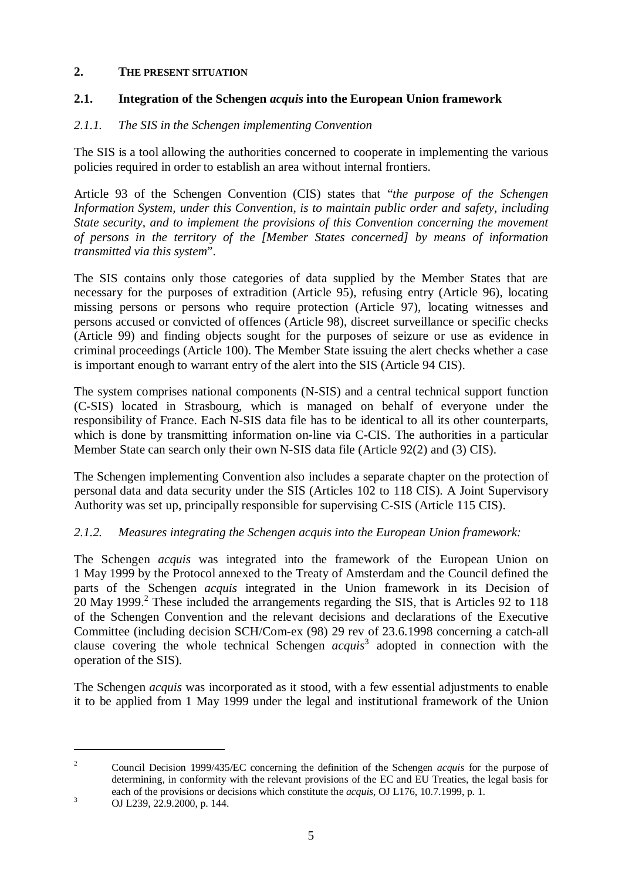## **2. THE PRESENT SITUATION**

## **2.1. Integration of the Schengen** *acquis* **into the European Union framework**

## *2.1.1. The SIS in the Schengen implementing Convention*

The SIS is a tool allowing the authorities concerned to cooperate in implementing the various policies required in order to establish an area without internal frontiers.

Article 93 of the Schengen Convention (CIS) states that "*the purpose of the Schengen Information System, under this Convention, is to maintain public order and safety, including State security, and to implement the provisions of this Convention concerning the movement of persons in the territory of the [Member States concerned] by means of information transmitted via this system*".

The SIS contains only those categories of data supplied by the Member States that are necessary for the purposes of extradition (Article 95), refusing entry (Article 96), locating missing persons or persons who require protection (Article 97), locating witnesses and persons accused or convicted of offences (Article 98), discreet surveillance or specific checks (Article 99) and finding objects sought for the purposes of seizure or use as evidence in criminal proceedings (Article 100). The Member State issuing the alert checks whether a case is important enough to warrant entry of the alert into the SIS (Article 94 CIS).

The system comprises national components (N-SIS) and a central technical support function (C-SIS) located in Strasbourg, which is managed on behalf of everyone under the responsibility of France. Each N-SIS data file has to be identical to all its other counterparts, which is done by transmitting information on-line via C-CIS. The authorities in a particular Member State can search only their own N-SIS data file (Article 92(2) and (3) CIS).

The Schengen implementing Convention also includes a separate chapter on the protection of personal data and data security under the SIS (Articles 102 to 118 CIS). A Joint Supervisory Authority was set up, principally responsible for supervising C-SIS (Article 115 CIS).

## *2.1.2. Measures integrating the Schengen acquis into the European Union framework:*

The Schengen *acquis* was integrated into the framework of the European Union on 1 May 1999 by the Protocol annexed to the Treaty of Amsterdam and the Council defined the parts of the Schengen *acquis* integrated in the Union framework in its Decision of 20 May 1999.<sup>2</sup> These included the arrangements regarding the SIS, that is Articles 92 to 118 of the Schengen Convention and the relevant decisions and declarations of the Executive Committee (including decision SCH/Com-ex (98) 29 rev of 23.6.1998 concerning a catch-all clause covering the whole technical Schengen *acquis*<sup>3</sup> adopted in connection with the operation of the SIS).

The Schengen *acquis* was incorporated as it stood, with a few essential adjustments to enable it to be applied from 1 May 1999 under the legal and institutional framework of the Union

<sup>2</sup> Council Decision 1999/435/EC concerning the definition of the Schengen *acquis* for the purpose of determining, in conformity with the relevant provisions of the EC and EU Treaties, the legal basis for each of the provisions or decisions which constitute the *acquis*, OJ L176, 10.7.1999, p. 1.<br><sup>3</sup> OJ L239, 22.9.2000, p. 144.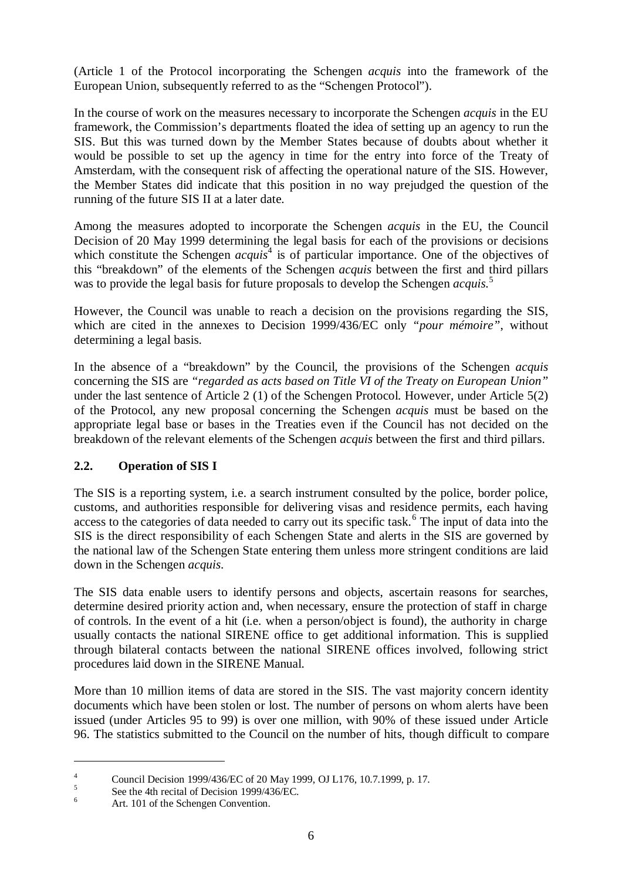(Article 1 of the Protocol incorporating the Schengen *acquis* into the framework of the European Union, subsequently referred to as the "Schengen Protocol").

In the course of work on the measures necessary to incorporate the Schengen *acquis* in the EU framework, the Commission's departments floated the idea of setting up an agency to run the SIS. But this was turned down by the Member States because of doubts about whether it would be possible to set up the agency in time for the entry into force of the Treaty of Amsterdam, with the consequent risk of affecting the operational nature of the SIS. However, the Member States did indicate that this position in no way prejudged the question of the running of the future SIS II at a later date.

Among the measures adopted to incorporate the Schengen *acquis* in the EU, the Council Decision of 20 May 1999 determining the legal basis for each of the provisions or decisions which constitute the Schengen *acquis*<sup>4</sup> is of particular importance. One of the objectives of this "breakdown" of the elements of the Schengen *acquis* between the first and third pillars was to provide the legal basis for future proposals to develop the Schengen *acquis*.<sup>5</sup>

However, the Council was unable to reach a decision on the provisions regarding the SIS, which are cited in the annexes to Decision 1999/436/EC only *"pour mémoire"*, without determining a legal basis.

In the absence of a "breakdown" by the Council, the provisions of the Schengen *acquis* concerning the SIS are *"regarded as acts based on Title VI of the Treaty on European Union"* under the last sentence of Article 2 (1) of the Schengen Protocol. However, under Article 5(2) of the Protocol, any new proposal concerning the Schengen *acquis* must be based on the appropriate legal base or bases in the Treaties even if the Council has not decided on the breakdown of the relevant elements of the Schengen *acquis* between the first and third pillars.

## **2.2. Operation of SIS I**

The SIS is a reporting system, i.e. a search instrument consulted by the police, border police, customs, and authorities responsible for delivering visas and residence permits, each having access to the categories of data needed to carry out its specific task.<sup>6</sup> The input of data into the SIS is the direct responsibility of each Schengen State and alerts in the SIS are governed by the national law of the Schengen State entering them unless more stringent conditions are laid down in the Schengen *acquis*.

The SIS data enable users to identify persons and objects, ascertain reasons for searches, determine desired priority action and, when necessary, ensure the protection of staff in charge of controls. In the event of a hit (i.e. when a person/object is found), the authority in charge usually contacts the national SIRENE office to get additional information. This is supplied through bilateral contacts between the national SIRENE offices involved, following strict procedures laid down in the SIRENE Manual.

More than 10 million items of data are stored in the SIS. The vast majority concern identity documents which have been stolen or lost. The number of persons on whom alerts have been issued (under Articles 95 to 99) is over one million, with 90% of these issued under Article 96. The statistics submitted to the Council on the number of hits, though difficult to compare

<sup>&</sup>lt;sup>4</sup><br>Council Decision 1999/436/EC of 20 May 1999, OJ L176, 10.7.1999, p. 17.<br><sup>5</sup><br>Art. 101 of the Schengen Convention.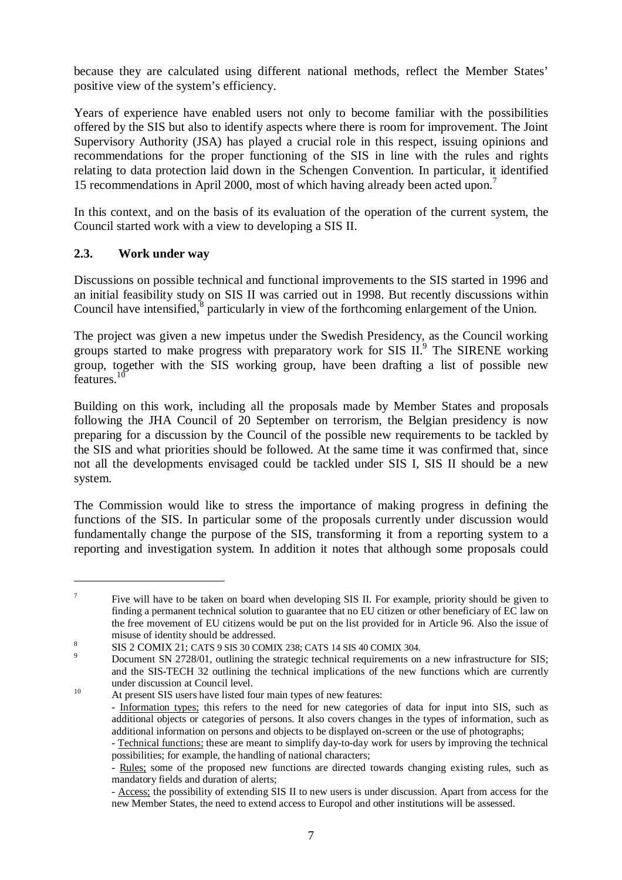because they are calculated using different national methods, reflect the Member States' positive view of the system's efficiency.

Years of experience have enabled users not only to become familiar with the possibilities offered by the SIS but also to identify aspects where there is room for improvement. The Joint Supervisory Authority (JSA) has played a crucial role in this respect, issuing opinions and recommendations for the proper functioning of the SIS in line with the rules and rights relating to data protection laid down in the Schengen Convention. In particular, it identified 15 recommendations in April 2000, most of which having already been acted upon.<sup>7</sup>

In this context, and on the basis of its evaluation of the operation of the current system, the Council started work with a view to developing a SIS II.

## **2.3. Work under way**

Discussions on possible technical and functional improvements to the SIS started in 1996 and an initial feasibility study on SIS II was carried out in 1998. But recently discussions within Council have intensified,<sup>8</sup> particularly in view of the forthcoming enlargement of the Union.

The project was given a new impetus under the Swedish Presidency, as the Council working groups started to make progress with preparatory work for SIS II.<sup>9</sup> The SIRENE working group, together with the SIS working group, have been drafting a list of possible new features.<sup>10</sup>

Building on this work, including all the proposals made by Member States and proposals following the JHA Council of 20 September on terrorism, the Belgian presidency is now preparing for a discussion by the Council of the possible new requirements to be tackled by the SIS and what priorities should be followed. At the same time it was confirmed that, since not all the developments envisaged could be tackled under SIS I, SIS II should be a new system.

The Commission would like to stress the importance of making progress in defining the functions of the SIS. In particular some of the proposals currently under discussion would fundamentally change the purpose of the SIS, transforming it from a reporting system to a reporting and investigation system. In addition it notes that although some proposals could

<sup>&</sup>lt;sup>7</sup> Five will have to be taken on board when developing SIS II. For example, priority should be given to finding a permanent technical solution to guarantee that no EU citizen or other beneficiary of EC law on the free movement of EU citizens would be put on the list provided for in Article 96. Also the issue of

misuse of identity should be addressed.<br>
8 SIS 2 COMIX 21; CATS 9 SIS 30 COMIX 238; CATS 14 SIS 40 COMIX 304.<br>
9 Document SN 2728/01, outlining the strategic technical requirements on a new infrastructure for SIS; and the SIS-TECH 32 outlining the technical implications of the new functions which are currently under discussion at Council level.<br>
<sup>10</sup> At present SIS users have listed four main types of new features:

<sup>-</sup> Information types; this refers to the need for new categories of data for input into SIS, such as additional objects or categories of persons. It also covers changes in the types of information, such as additional information on persons and objects to be displayed on-screen or the use of photographs;

<sup>-</sup> Technical functions; these are meant to simplify day-to-day work for users by improving the technical possibilities; for example, the handling of national characters;

<sup>-</sup> Rules; some of the proposed new functions are directed towards changing existing rules, such as mandatory fields and duration of alerts;

<sup>-</sup> Access; the possibility of extending SIS II to new users is under discussion. Apart from access for the new Member States, the need to extend access to Europol and other institutions will be assessed.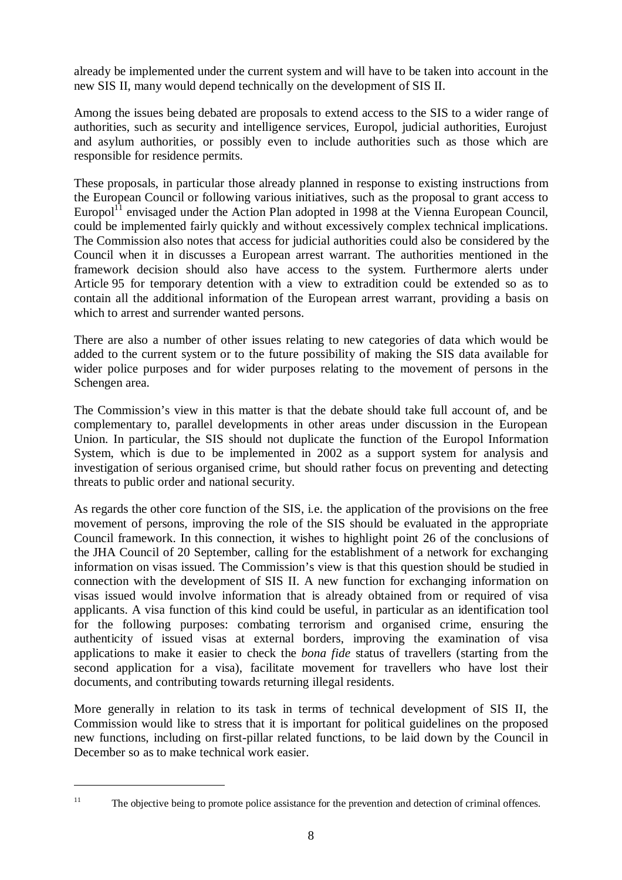already be implemented under the current system and will have to be taken into account in the new SIS II, many would depend technically on the development of SIS II.

Among the issues being debated are proposals to extend access to the SIS to a wider range of authorities, such as security and intelligence services, Europol, judicial authorities, Eurojust and asylum authorities, or possibly even to include authorities such as those which are responsible for residence permits.

These proposals, in particular those already planned in response to existing instructions from the European Council or following various initiatives, such as the proposal to grant access to Europol<sup>11</sup> envisaged under the Action Plan adopted in 1998 at the Vienna European Council, could be implemented fairly quickly and without excessively complex technical implications. The Commission also notes that access for judicial authorities could also be considered by the Council when it in discusses a European arrest warrant. The authorities mentioned in the framework decision should also have access to the system. Furthermore alerts under Article 95 for temporary detention with a view to extradition could be extended so as to contain all the additional information of the European arrest warrant, providing a basis on which to arrest and surrender wanted persons.

There are also a number of other issues relating to new categories of data which would be added to the current system or to the future possibility of making the SIS data available for wider police purposes and for wider purposes relating to the movement of persons in the Schengen area.

The Commission's view in this matter is that the debate should take full account of, and be complementary to, parallel developments in other areas under discussion in the European Union. In particular, the SIS should not duplicate the function of the Europol Information System, which is due to be implemented in 2002 as a support system for analysis and investigation of serious organised crime, but should rather focus on preventing and detecting threats to public order and national security.

As regards the other core function of the SIS, i.e. the application of the provisions on the free movement of persons, improving the role of the SIS should be evaluated in the appropriate Council framework. In this connection, it wishes to highlight point 26 of the conclusions of the JHA Council of 20 September, calling for the establishment of a network for exchanging information on visas issued. The Commission's view is that this question should be studied in connection with the development of SIS II. A new function for exchanging information on visas issued would involve information that is already obtained from or required of visa applicants. A visa function of this kind could be useful, in particular as an identification tool for the following purposes: combating terrorism and organised crime, ensuring the authenticity of issued visas at external borders, improving the examination of visa applications to make it easier to check the *bona fide* status of travellers (starting from the second application for a visa), facilitate movement for travellers who have lost their documents, and contributing towards returning illegal residents.

More generally in relation to its task in terms of technical development of SIS II, the Commission would like to stress that it is important for political guidelines on the proposed new functions, including on first-pillar related functions, to be laid down by the Council in December so as to make technical work easier.

<sup>&</sup>lt;sup>11</sup> The objective being to promote police assistance for the prevention and detection of criminal offences.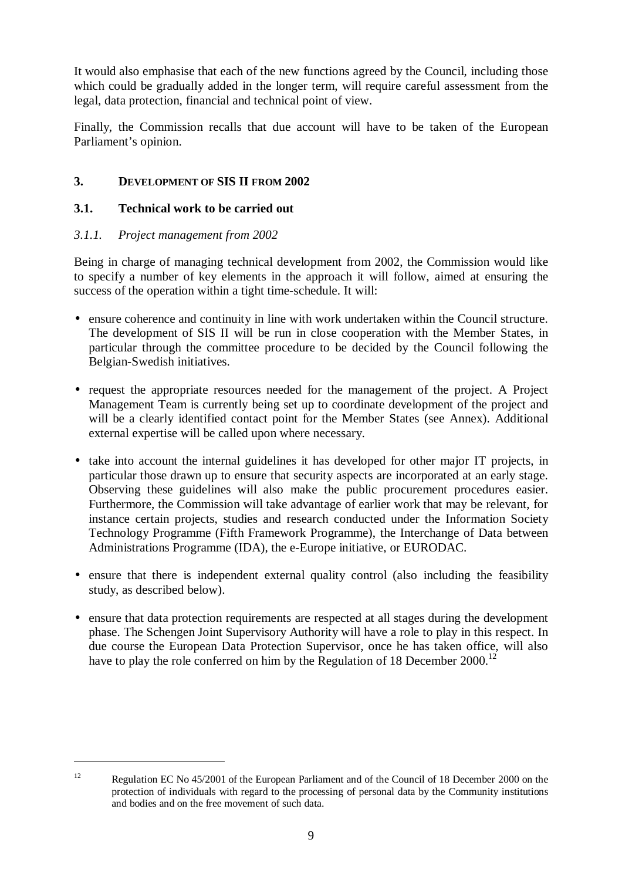It would also emphasise that each of the new functions agreed by the Council, including those which could be gradually added in the longer term, will require careful assessment from the legal, data protection, financial and technical point of view.

Finally, the Commission recalls that due account will have to be taken of the European Parliament's opinion.

## **3. DEVELOPMENT OF SIS II FROM 2002**

## **3.1. Technical work to be carried out**

## *3.1.1. Project management from 2002*

Being in charge of managing technical development from 2002, the Commission would like to specify a number of key elements in the approach it will follow, aimed at ensuring the success of the operation within a tight time-schedule. It will:

- ensure coherence and continuity in line with work undertaken within the Council structure. The development of SIS II will be run in close cooperation with the Member States, in particular through the committee procedure to be decided by the Council following the Belgian-Swedish initiatives.
- request the appropriate resources needed for the management of the project. A Project Management Team is currently being set up to coordinate development of the project and will be a clearly identified contact point for the Member States (see Annex). Additional external expertise will be called upon where necessary.
- take into account the internal guidelines it has developed for other major IT projects, in particular those drawn up to ensure that security aspects are incorporated at an early stage. Observing these guidelines will also make the public procurement procedures easier. Furthermore, the Commission will take advantage of earlier work that may be relevant, for instance certain projects, studies and research conducted under the Information Society Technology Programme (Fifth Framework Programme), the Interchange of Data between Administrations Programme (IDA), the e-Europe initiative, or EURODAC.
- ensure that there is independent external quality control (also including the feasibility study, as described below).
- ensure that data protection requirements are respected at all stages during the development phase. The Schengen Joint Supervisory Authority will have a role to play in this respect. In due course the European Data Protection Supervisor, once he has taken office, will also have to play the role conferred on him by the Regulation of 18 December 2000.<sup>12</sup>

<sup>&</sup>lt;sup>12</sup> Regulation EC No 45/2001 of the European Parliament and of the Council of 18 December 2000 on the protection of individuals with regard to the processing of personal data by the Community institutions and bodies and on the free movement of such data.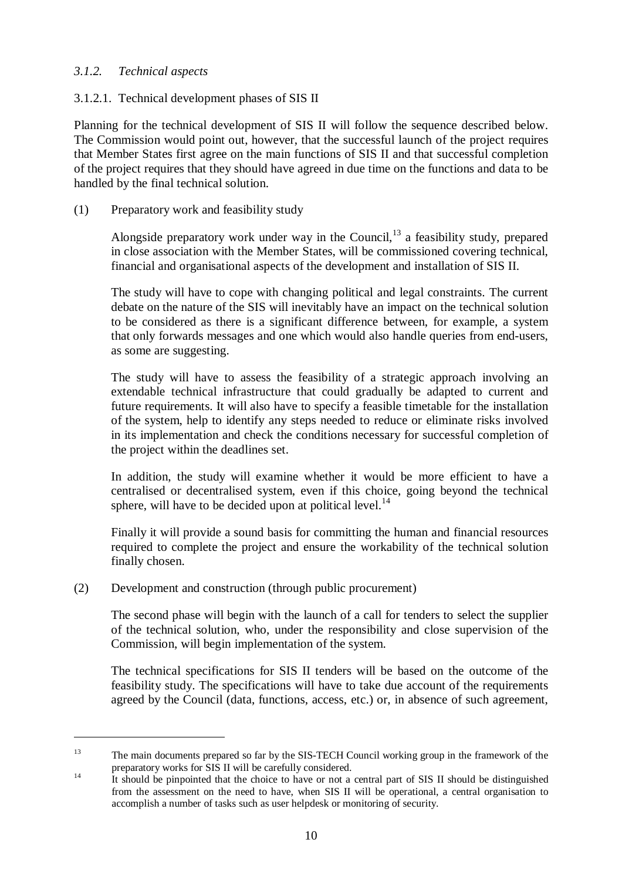## *3.1.2. Technical aspects*

## 3.1.2.1. Technical development phases of SIS II

Planning for the technical development of SIS II will follow the sequence described below. The Commission would point out, however, that the successful launch of the project requires that Member States first agree on the main functions of SIS II and that successful completion of the project requires that they should have agreed in due time on the functions and data to be handled by the final technical solution.

## (1) Preparatory work and feasibility study

Alongside preparatory work under way in the Council, $13$  a feasibility study, prepared in close association with the Member States, will be commissioned covering technical, financial and organisational aspects of the development and installation of SIS II.

The study will have to cope with changing political and legal constraints. The current debate on the nature of the SIS will inevitably have an impact on the technical solution to be considered as there is a significant difference between, for example, a system that only forwards messages and one which would also handle queries from end-users, as some are suggesting.

The study will have to assess the feasibility of a strategic approach involving an extendable technical infrastructure that could gradually be adapted to current and future requirements. It will also have to specify a feasible timetable for the installation of the system, help to identify any steps needed to reduce or eliminate risks involved in its implementation and check the conditions necessary for successful completion of the project within the deadlines set.

In addition, the study will examine whether it would be more efficient to have a centralised or decentralised system, even if this choice, going beyond the technical sphere, will have to be decided upon at political level. $^{14}$ 

Finally it will provide a sound basis for committing the human and financial resources required to complete the project and ensure the workability of the technical solution finally chosen.

## (2) Development and construction (through public procurement)

The second phase will begin with the launch of a call for tenders to select the supplier of the technical solution, who, under the responsibility and close supervision of the Commission, will begin implementation of the system.

The technical specifications for SIS II tenders will be based on the outcome of the feasibility study. The specifications will have to take due account of the requirements agreed by the Council (data, functions, access, etc.) or, in absence of such agreement,

<sup>&</sup>lt;sup>13</sup> The main documents prepared so far by the SIS-TECH Council working group in the framework of the preparatory works for SIS II will be carefully considered.<br>It should be pinpointed that the choice to have or not a central part of SIS II should be distinguished

from the assessment on the need to have, when SIS II will be operational, a central organisation to accomplish a number of tasks such as user helpdesk or monitoring of security.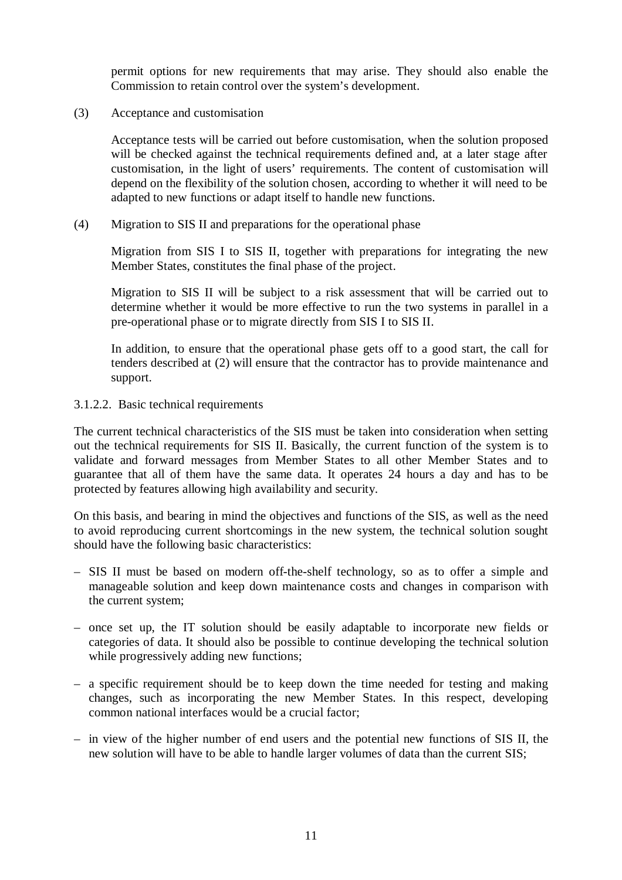permit options for new requirements that may arise. They should also enable the Commission to retain control over the system's development.

(3) Acceptance and customisation

Acceptance tests will be carried out before customisation, when the solution proposed will be checked against the technical requirements defined and, at a later stage after customisation, in the light of users' requirements. The content of customisation will depend on the flexibility of the solution chosen, according to whether it will need to be adapted to new functions or adapt itself to handle new functions.

(4) Migration to SIS II and preparations for the operational phase

Migration from SIS I to SIS II, together with preparations for integrating the new Member States, constitutes the final phase of the project.

Migration to SIS II will be subject to a risk assessment that will be carried out to determine whether it would be more effective to run the two systems in parallel in a pre-operational phase or to migrate directly from SIS I to SIS II.

In addition, to ensure that the operational phase gets off to a good start, the call for tenders described at (2) will ensure that the contractor has to provide maintenance and support.

3.1.2.2. Basic technical requirements

The current technical characteristics of the SIS must be taken into consideration when setting out the technical requirements for SIS II. Basically, the current function of the system is to validate and forward messages from Member States to all other Member States and to guarantee that all of them have the same data. It operates 24 hours a day and has to be protected by features allowing high availability and security.

On this basis, and bearing in mind the objectives and functions of the SIS, as well as the need to avoid reproducing current shortcomings in the new system, the technical solution sought should have the following basic characteristics:

- SIS II must be based on modern off-the-shelf technology, so as to offer a simple and manageable solution and keep down maintenance costs and changes in comparison with the current system;
- once set up, the IT solution should be easily adaptable to incorporate new fields or categories of data. It should also be possible to continue developing the technical solution while progressively adding new functions;
- a specific requirement should be to keep down the time needed for testing and making changes, such as incorporating the new Member States. In this respect, developing common national interfaces would be a crucial factor;
- in view of the higher number of end users and the potential new functions of SIS II, the new solution will have to be able to handle larger volumes of data than the current SIS;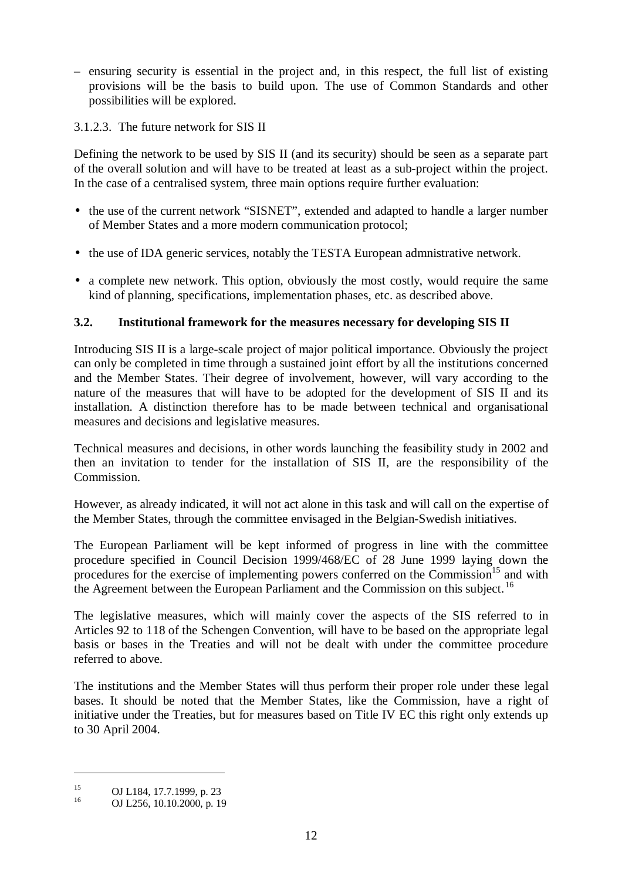– ensuring security is essential in the project and, in this respect, the full list of existing provisions will be the basis to build upon. The use of Common Standards and other possibilities will be explored.

3.1.2.3. The future network for SIS II

Defining the network to be used by SIS II (and its security) should be seen as a separate part of the overall solution and will have to be treated at least as a sub-project within the project. In the case of a centralised system, three main options require further evaluation:

- the use of the current network "SISNET", extended and adapted to handle a larger number of Member States and a more modern communication protocol;
- the use of IDA generic services, notably the TESTA European admnistrative network.
- a complete new network. This option, obviously the most costly, would require the same kind of planning, specifications, implementation phases, etc. as described above.

## **3.2. Institutional framework for the measures necessary for developing SIS II**

Introducing SIS II is a large-scale project of major political importance. Obviously the project can only be completed in time through a sustained joint effort by all the institutions concerned and the Member States. Their degree of involvement, however, will vary according to the nature of the measures that will have to be adopted for the development of SIS II and its installation. A distinction therefore has to be made between technical and organisational measures and decisions and legislative measures.

Technical measures and decisions, in other words launching the feasibility study in 2002 and then an invitation to tender for the installation of SIS II, are the responsibility of the Commission.

However, as already indicated, it will not act alone in this task and will call on the expertise of the Member States, through the committee envisaged in the Belgian-Swedish initiatives.

The European Parliament will be kept informed of progress in line with the committee procedure specified in Council Decision 1999/468/EC of 28 June 1999 laying down the procedures for the exercise of implementing powers conferred on the Commission<sup>15</sup> and with the Agreement between the European Parliament and the Commission on this subject.<sup>16</sup>

The legislative measures, which will mainly cover the aspects of the SIS referred to in Articles 92 to 118 of the Schengen Convention, will have to be based on the appropriate legal basis or bases in the Treaties and will not be dealt with under the committee procedure referred to above.

The institutions and the Member States will thus perform their proper role under these legal bases. It should be noted that the Member States, like the Commission, have a right of initiative under the Treaties, but for measures based on Title IV EC this right only extends up to 30 April 2004.

<sup>&</sup>lt;sup>15</sup> OJ L184, 17.7.1999, p. 23<br><sup>16</sup> OJ L256, 10.10.2000, p. 19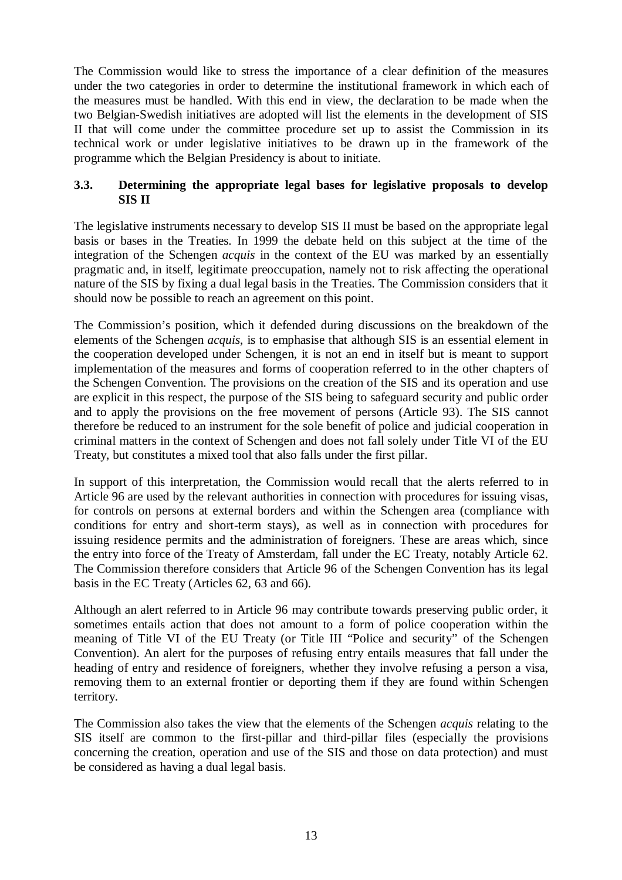The Commission would like to stress the importance of a clear definition of the measures under the two categories in order to determine the institutional framework in which each of the measures must be handled. With this end in view, the declaration to be made when the two Belgian-Swedish initiatives are adopted will list the elements in the development of SIS II that will come under the committee procedure set up to assist the Commission in its technical work or under legislative initiatives to be drawn up in the framework of the programme which the Belgian Presidency is about to initiate.

## **3.3. Determining the appropriate legal bases for legislative proposals to develop SIS II**

The legislative instruments necessary to develop SIS II must be based on the appropriate legal basis or bases in the Treaties. In 1999 the debate held on this subject at the time of the integration of the Schengen *acquis* in the context of the EU was marked by an essentially pragmatic and, in itself, legitimate preoccupation, namely not to risk affecting the operational nature of the SIS by fixing a dual legal basis in the Treaties. The Commission considers that it should now be possible to reach an agreement on this point.

The Commission's position, which it defended during discussions on the breakdown of the elements of the Schengen *acquis*, is to emphasise that although SIS is an essential element in the cooperation developed under Schengen, it is not an end in itself but is meant to support implementation of the measures and forms of cooperation referred to in the other chapters of the Schengen Convention. The provisions on the creation of the SIS and its operation and use are explicit in this respect, the purpose of the SIS being to safeguard security and public order and to apply the provisions on the free movement of persons (Article 93). The SIS cannot therefore be reduced to an instrument for the sole benefit of police and judicial cooperation in criminal matters in the context of Schengen and does not fall solely under Title VI of the EU Treaty, but constitutes a mixed tool that also falls under the first pillar.

In support of this interpretation, the Commission would recall that the alerts referred to in Article 96 are used by the relevant authorities in connection with procedures for issuing visas, for controls on persons at external borders and within the Schengen area (compliance with conditions for entry and short-term stays), as well as in connection with procedures for issuing residence permits and the administration of foreigners. These are areas which, since the entry into force of the Treaty of Amsterdam, fall under the EC Treaty, notably Article 62. The Commission therefore considers that Article 96 of the Schengen Convention has its legal basis in the EC Treaty (Articles 62, 63 and 66).

Although an alert referred to in Article 96 may contribute towards preserving public order, it sometimes entails action that does not amount to a form of police cooperation within the meaning of Title VI of the EU Treaty (or Title III "Police and security" of the Schengen Convention). An alert for the purposes of refusing entry entails measures that fall under the heading of entry and residence of foreigners, whether they involve refusing a person a visa, removing them to an external frontier or deporting them if they are found within Schengen territory.

The Commission also takes the view that the elements of the Schengen *acquis* relating to the SIS itself are common to the first-pillar and third-pillar files (especially the provisions concerning the creation, operation and use of the SIS and those on data protection) and must be considered as having a dual legal basis.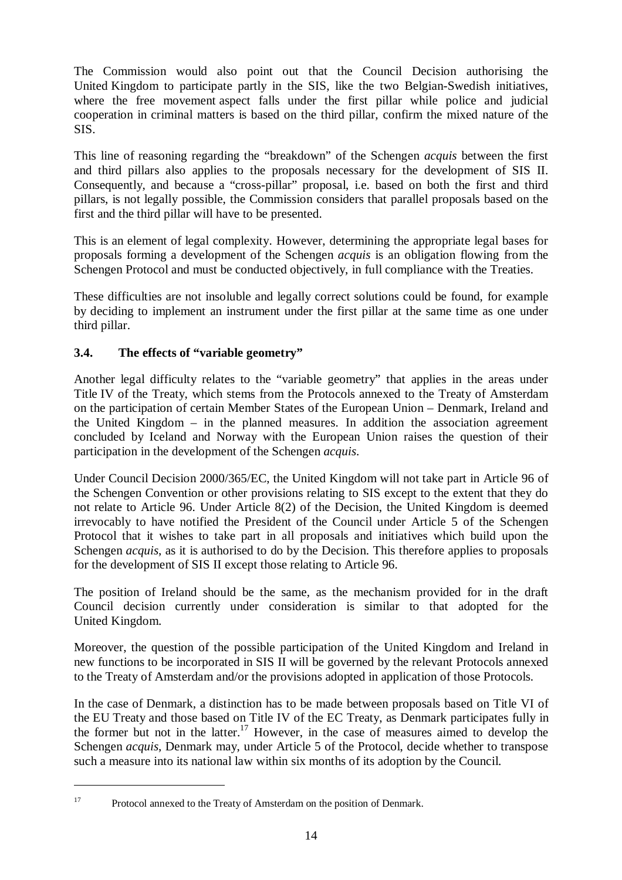The Commission would also point out that the Council Decision authorising the United Kingdom to participate partly in the SIS, like the two Belgian-Swedish initiatives, where the free movement aspect falls under the first pillar while police and judicial cooperation in criminal matters is based on the third pillar, confirm the mixed nature of the SIS.

This line of reasoning regarding the "breakdown" of the Schengen *acquis* between the first and third pillars also applies to the proposals necessary for the development of SIS II. Consequently, and because a "cross-pillar" proposal, i.e. based on both the first and third pillars, is not legally possible, the Commission considers that parallel proposals based on the first and the third pillar will have to be presented.

This is an element of legal complexity. However, determining the appropriate legal bases for proposals forming a development of the Schengen *acquis* is an obligation flowing from the Schengen Protocol and must be conducted objectively, in full compliance with the Treaties.

These difficulties are not insoluble and legally correct solutions could be found, for example by deciding to implement an instrument under the first pillar at the same time as one under third pillar.

## **3.4. The effects of "variable geometry"**

Another legal difficulty relates to the "variable geometry" that applies in the areas under Title IV of the Treaty, which stems from the Protocols annexed to the Treaty of Amsterdam on the participation of certain Member States of the European Union – Denmark, Ireland and the United Kingdom – in the planned measures. In addition the association agreement concluded by Iceland and Norway with the European Union raises the question of their participation in the development of the Schengen *acquis*.

Under Council Decision 2000/365/EC, the United Kingdom will not take part in Article 96 of the Schengen Convention or other provisions relating to SIS except to the extent that they do not relate to Article 96. Under Article 8(2) of the Decision, the United Kingdom is deemed irrevocably to have notified the President of the Council under Article 5 of the Schengen Protocol that it wishes to take part in all proposals and initiatives which build upon the Schengen *acquis*, as it is authorised to do by the Decision. This therefore applies to proposals for the development of SIS II except those relating to Article 96.

The position of Ireland should be the same, as the mechanism provided for in the draft Council decision currently under consideration is similar to that adopted for the United Kingdom.

Moreover, the question of the possible participation of the United Kingdom and Ireland in new functions to be incorporated in SIS II will be governed by the relevant Protocols annexed to the Treaty of Amsterdam and/or the provisions adopted in application of those Protocols.

In the case of Denmark, a distinction has to be made between proposals based on Title VI of the EU Treaty and those based on Title IV of the EC Treaty, as Denmark participates fully in the former but not in the latter.<sup>17</sup> However, in the case of measures aimed to develop the Schengen *acquis*, Denmark may, under Article 5 of the Protocol, decide whether to transpose such a measure into its national law within six months of its adoption by the Council.

<sup>&</sup>lt;sup>17</sup> Protocol annexed to the Treaty of Amsterdam on the position of Denmark.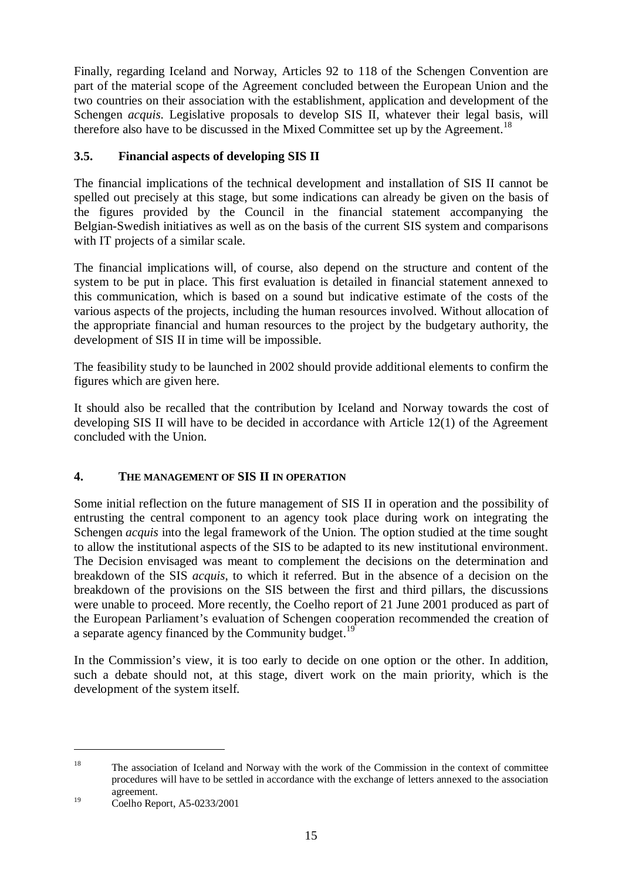Finally, regarding Iceland and Norway, Articles 92 to 118 of the Schengen Convention are part of the material scope of the Agreement concluded between the European Union and the two countries on their association with the establishment, application and development of the Schengen *acquis*. Legislative proposals to develop SIS II, whatever their legal basis, will therefore also have to be discussed in the Mixed Committee set up by the Agreement.<sup>18</sup>

## **3.5. Financial aspects of developing SIS II**

The financial implications of the technical development and installation of SIS II cannot be spelled out precisely at this stage, but some indications can already be given on the basis of the figures provided by the Council in the financial statement accompanying the Belgian-Swedish initiatives as well as on the basis of the current SIS system and comparisons with IT projects of a similar scale.

The financial implications will, of course, also depend on the structure and content of the system to be put in place. This first evaluation is detailed in financial statement annexed to this communication, which is based on a sound but indicative estimate of the costs of the various aspects of the projects, including the human resources involved. Without allocation of the appropriate financial and human resources to the project by the budgetary authority, the development of SIS II in time will be impossible.

The feasibility study to be launched in 2002 should provide additional elements to confirm the figures which are given here.

It should also be recalled that the contribution by Iceland and Norway towards the cost of developing SIS II will have to be decided in accordance with Article 12(1) of the Agreement concluded with the Union.

## **4. THE MANAGEMENT OF SIS II IN OPERATION**

Some initial reflection on the future management of SIS II in operation and the possibility of entrusting the central component to an agency took place during work on integrating the Schengen *acquis* into the legal framework of the Union. The option studied at the time sought to allow the institutional aspects of the SIS to be adapted to its new institutional environment. The Decision envisaged was meant to complement the decisions on the determination and breakdown of the SIS *acquis*, to which it referred. But in the absence of a decision on the breakdown of the provisions on the SIS between the first and third pillars, the discussions were unable to proceed. More recently, the Coelho report of 21 June 2001 produced as part of the European Parliament's evaluation of Schengen cooperation recommended the creation of a separate agency financed by the Community budget.<sup>19</sup>

In the Commission's view, it is too early to decide on one option or the other. In addition, such a debate should not, at this stage, divert work on the main priority, which is the development of the system itself.

<sup>&</sup>lt;sup>18</sup> The association of Iceland and Norway with the work of the Commission in the context of committee procedures will have to be settled in accordance with the exchange of letters annexed to the association agreement.

<sup>19</sup> Coelho Report, A5-0233/2001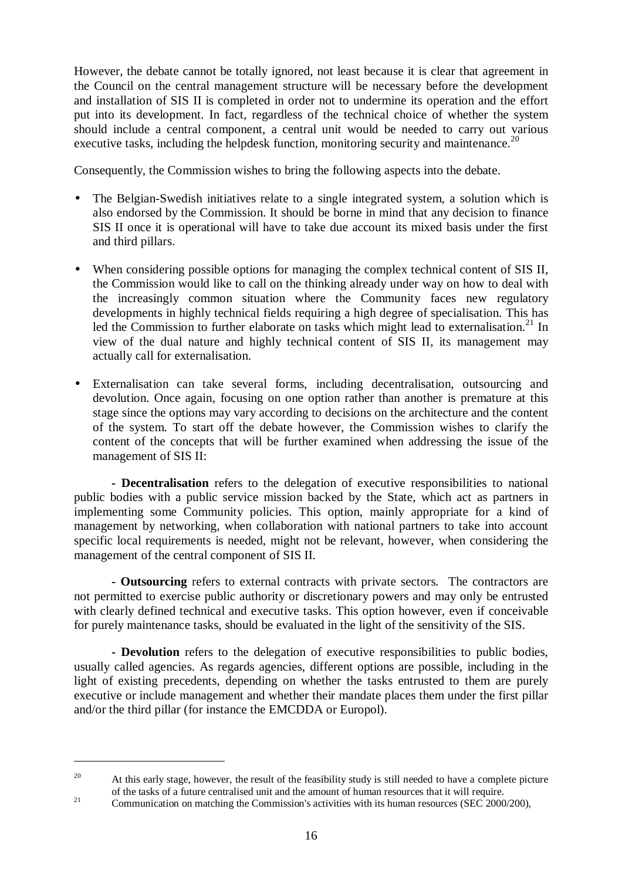However, the debate cannot be totally ignored, not least because it is clear that agreement in the Council on the central management structure will be necessary before the development and installation of SIS II is completed in order not to undermine its operation and the effort put into its development. In fact, regardless of the technical choice of whether the system should include a central component, a central unit would be needed to carry out various executive tasks, including the helpdesk function, monitoring security and maintenance.<sup>20</sup>

Consequently, the Commission wishes to bring the following aspects into the debate.

- The Belgian-Swedish initiatives relate to a single integrated system, a solution which is also endorsed by the Commission. It should be borne in mind that any decision to finance SIS II once it is operational will have to take due account its mixed basis under the first and third pillars.
- When considering possible options for managing the complex technical content of SIS II, the Commission would like to call on the thinking already under way on how to deal with the increasingly common situation where the Community faces new regulatory developments in highly technical fields requiring a high degree of specialisation. This has led the Commission to further elaborate on tasks which might lead to externalisation.<sup>21</sup> In view of the dual nature and highly technical content of SIS II, its management may actually call for externalisation.
- Externalisation can take several forms, including decentralisation, outsourcing and devolution. Once again, focusing on one option rather than another is premature at this stage since the options may vary according to decisions on the architecture and the content of the system. To start off the debate however, the Commission wishes to clarify the content of the concepts that will be further examined when addressing the issue of the management of SIS II:

**- Decentralisation** refers to the delegation of executive responsibilities to national public bodies with a public service mission backed by the State, which act as partners in implementing some Community policies. This option, mainly appropriate for a kind of management by networking, when collaboration with national partners to take into account specific local requirements is needed, might not be relevant, however, when considering the management of the central component of SIS II.

**- Outsourcing** refers to external contracts with private sectors*.* The contractors are not permitted to exercise public authority or discretionary powers and may only be entrusted with clearly defined technical and executive tasks. This option however, even if conceivable for purely maintenance tasks, should be evaluated in the light of the sensitivity of the SIS.

**- Devolution** refers to the delegation of executive responsibilities to public bodies, usually called agencies. As regards agencies, different options are possible, including in the light of existing precedents, depending on whether the tasks entrusted to them are purely executive or include management and whether their mandate places them under the first pillar and/or the third pillar (for instance the EMCDDA or Europol).

<sup>&</sup>lt;sup>20</sup> At this early stage, however, the result of the feasibility study is still needed to have a complete picture of the tasks of a future centralised unit and the amount of human resources that it will require.<br>Communication on matching the Commission's activities with its human resources (SEC 2000/200),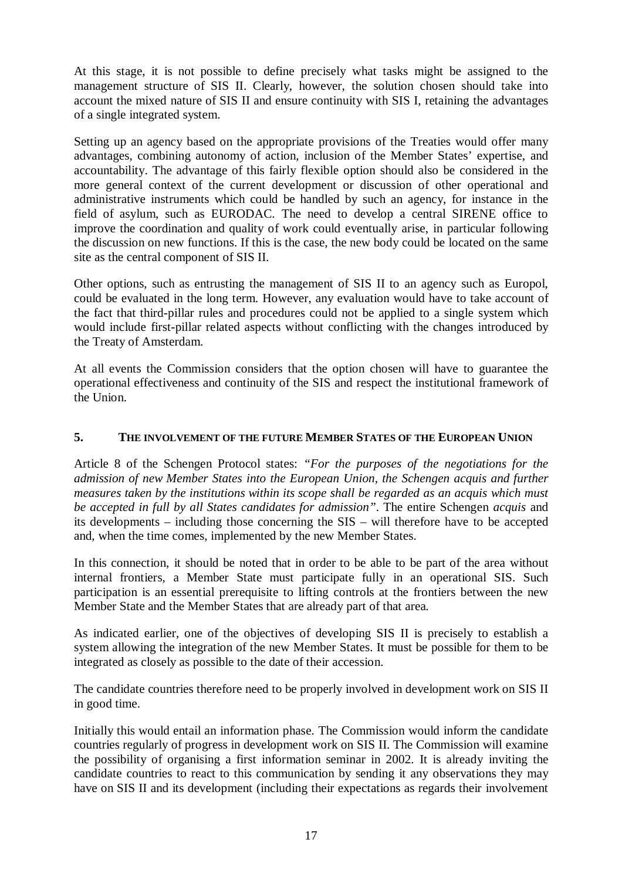At this stage, it is not possible to define precisely what tasks might be assigned to the management structure of SIS II. Clearly, however, the solution chosen should take into account the mixed nature of SIS II and ensure continuity with SIS I, retaining the advantages of a single integrated system.

Setting up an agency based on the appropriate provisions of the Treaties would offer many advantages, combining autonomy of action, inclusion of the Member States' expertise, and accountability. The advantage of this fairly flexible option should also be considered in the more general context of the current development or discussion of other operational and administrative instruments which could be handled by such an agency, for instance in the field of asylum, such as EURODAC. The need to develop a central SIRENE office to improve the coordination and quality of work could eventually arise, in particular following the discussion on new functions. If this is the case, the new body could be located on the same site as the central component of SIS II.

Other options, such as entrusting the management of SIS II to an agency such as Europol, could be evaluated in the long term. However, any evaluation would have to take account of the fact that third-pillar rules and procedures could not be applied to a single system which would include first-pillar related aspects without conflicting with the changes introduced by the Treaty of Amsterdam.

At all events the Commission considers that the option chosen will have to guarantee the operational effectiveness and continuity of the SIS and respect the institutional framework of the Union.

#### **5. THE INVOLVEMENT OF THE FUTURE MEMBER STATES OF THE EUROPEAN UNION**

Article 8 of the Schengen Protocol states: *"For the purposes of the negotiations for the admission of new Member States into the European Union, the Schengen acquis and further measures taken by the institutions within its scope shall be regarded as an acquis which must be accepted in full by all States candidates for admission"*. The entire Schengen *acquis* and its developments – including those concerning the SIS – will therefore have to be accepted and, when the time comes, implemented by the new Member States.

In this connection, it should be noted that in order to be able to be part of the area without internal frontiers, a Member State must participate fully in an operational SIS. Such participation is an essential prerequisite to lifting controls at the frontiers between the new Member State and the Member States that are already part of that area.

As indicated earlier, one of the objectives of developing SIS II is precisely to establish a system allowing the integration of the new Member States. It must be possible for them to be integrated as closely as possible to the date of their accession.

The candidate countries therefore need to be properly involved in development work on SIS II in good time.

Initially this would entail an information phase. The Commission would inform the candidate countries regularly of progress in development work on SIS II. The Commission will examine the possibility of organising a first information seminar in 2002. It is already inviting the candidate countries to react to this communication by sending it any observations they may have on SIS II and its development (including their expectations as regards their involvement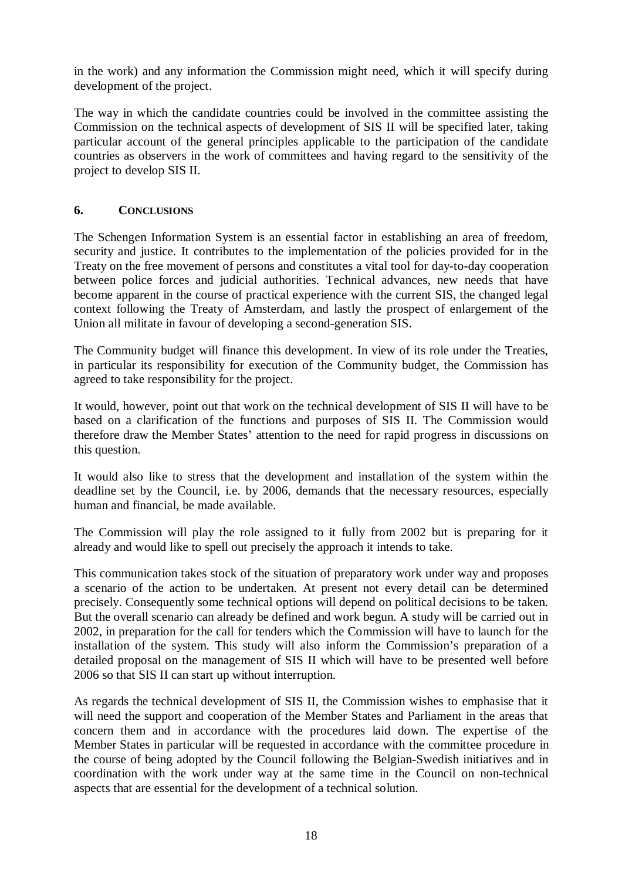in the work) and any information the Commission might need, which it will specify during development of the project.

The way in which the candidate countries could be involved in the committee assisting the Commission on the technical aspects of development of SIS II will be specified later, taking particular account of the general principles applicable to the participation of the candidate countries as observers in the work of committees and having regard to the sensitivity of the project to develop SIS II.

## **6. CONCLUSIONS**

The Schengen Information System is an essential factor in establishing an area of freedom, security and justice. It contributes to the implementation of the policies provided for in the Treaty on the free movement of persons and constitutes a vital tool for day-to-day cooperation between police forces and judicial authorities. Technical advances, new needs that have become apparent in the course of practical experience with the current SIS, the changed legal context following the Treaty of Amsterdam, and lastly the prospect of enlargement of the Union all militate in favour of developing a second-generation SIS.

The Community budget will finance this development. In view of its role under the Treaties, in particular its responsibility for execution of the Community budget, the Commission has agreed to take responsibility for the project.

It would, however, point out that work on the technical development of SIS II will have to be based on a clarification of the functions and purposes of SIS II. The Commission would therefore draw the Member States' attention to the need for rapid progress in discussions on this question.

It would also like to stress that the development and installation of the system within the deadline set by the Council, i.e. by 2006, demands that the necessary resources, especially human and financial, be made available.

The Commission will play the role assigned to it fully from 2002 but is preparing for it already and would like to spell out precisely the approach it intends to take.

This communication takes stock of the situation of preparatory work under way and proposes a scenario of the action to be undertaken. At present not every detail can be determined precisely. Consequently some technical options will depend on political decisions to be taken. But the overall scenario can already be defined and work begun. A study will be carried out in 2002, in preparation for the call for tenders which the Commission will have to launch for the installation of the system. This study will also inform the Commission's preparation of a detailed proposal on the management of SIS II which will have to be presented well before 2006 so that SIS II can start up without interruption.

As regards the technical development of SIS II, the Commission wishes to emphasise that it will need the support and cooperation of the Member States and Parliament in the areas that concern them and in accordance with the procedures laid down. The expertise of the Member States in particular will be requested in accordance with the committee procedure in the course of being adopted by the Council following the Belgian-Swedish initiatives and in coordination with the work under way at the same time in the Council on non-technical aspects that are essential for the development of a technical solution.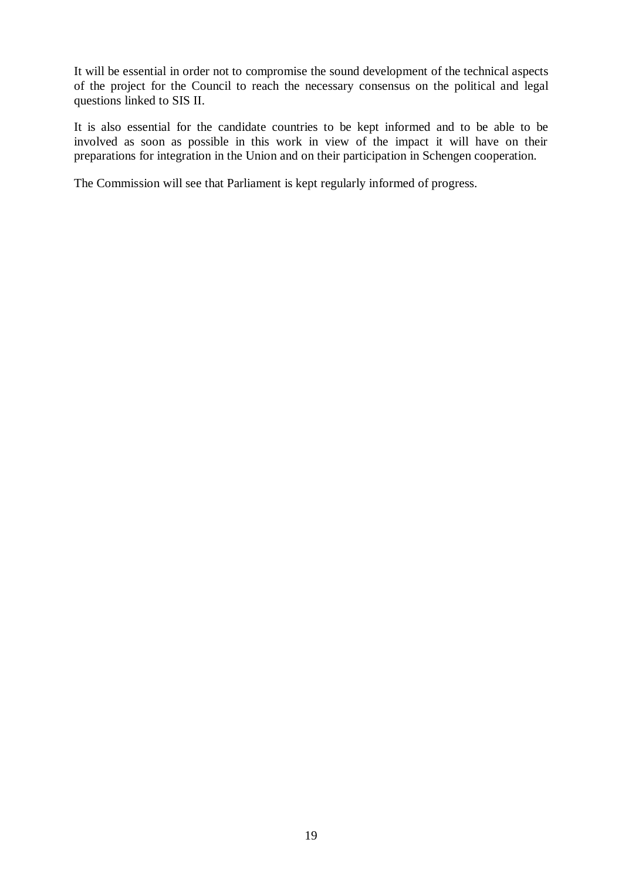It will be essential in order not to compromise the sound development of the technical aspects of the project for the Council to reach the necessary consensus on the political and legal questions linked to SIS II.

It is also essential for the candidate countries to be kept informed and to be able to be involved as soon as possible in this work in view of the impact it will have on their preparations for integration in the Union and on their participation in Schengen cooperation.

The Commission will see that Parliament is kept regularly informed of progress.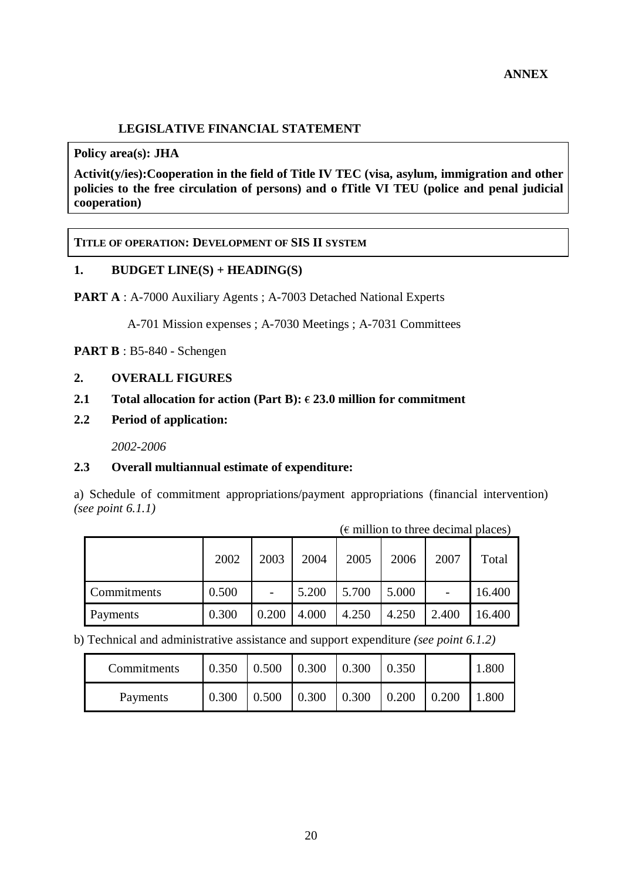## **LEGISLATIVE FINANCIAL STATEMENT**

**Policy area(s): JHA**

**Activit(y/ies):Cooperation in the field of Title IV TEC (visa, asylum, immigration and other policies to the free circulation of persons) and o fTitle VI TEU (police and penal judicial cooperation)**

#### **TITLE OF OPERATION: DEVELOPMENT OF SIS II SYSTEM**

## **1. BUDGET LINE(S) + HEADING(S)**

**PART A** : A-7000 Auxiliary Agents ; A-7003 Detached National Experts

A-701 Mission expenses ; A-7030 Meetings ; A-7031 Committees

**PART B** : B5-840 - Schengen

#### **2. OVERALL FIGURES**

# **2.1** Total allocation for action (Part B):  $\epsilon$  23.0 million for commitment 2.2 Period of application:

**2.2 Period of application:**

*2002-2006*

#### **2.3 Overall multiannual estimate of expenditure:**

a) Schedule of commitment appropriations/payment appropriations (financial intervention) *(see point 6.1.1)*

| $\epsilon$ minion to three declinar places) |       |       |       |       |       |       |        |
|---------------------------------------------|-------|-------|-------|-------|-------|-------|--------|
|                                             | 2002  | 2003  | 2004  | 2005  | 2006  | 2007  | Total  |
| Commitments                                 | 0.500 |       | 5.200 | 5.700 | 5.000 | -     | 16.400 |
| Payments                                    | 0.300 | 0.200 | 4.000 | 4.250 | 4.250 | 2.400 | 16.400 |

 $(E$  million to three decimal places)

b) Technical and administrative assistance and support expenditure *(see point 6.1.2)*

| Commitments | 0.350 | 0.500 | 0.300 | 0.300 | 0.350 |       | .800 |
|-------------|-------|-------|-------|-------|-------|-------|------|
| Payments    | 0.300 | 0.500 | 0.300 | 0.300 | 0.200 | 0.200 | .800 |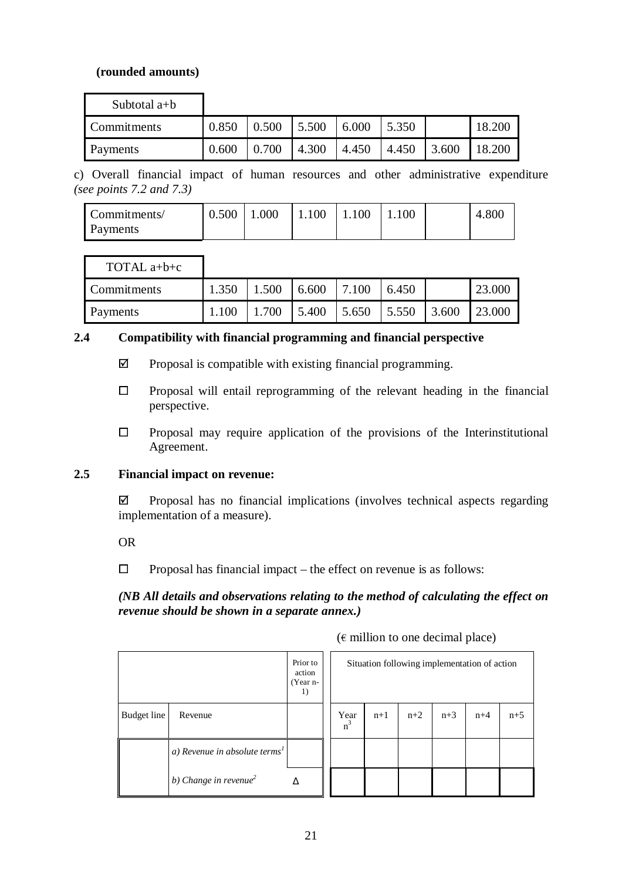### **(rounded amounts)**

| Subtotal $a+b$ |       |       |       |       |       |       |        |
|----------------|-------|-------|-------|-------|-------|-------|--------|
| Commitments    | 0.850 | 0.500 | 5.500 | 6.000 | 5.350 |       | 18.200 |
| Payments       | 0.600 | 0.700 | 4.300 | 4.450 | 4.450 | 3.600 | 18.200 |

c) Overall financial impact of human resources and other administrative expenditure *(see points 7.2 and 7.3)*

| Commitments/ | 0.500 | 1.000 | $\parallel$ 1.100   1.100   1.100 |  | 4.800 |
|--------------|-------|-------|-----------------------------------|--|-------|
| Payments     |       |       |                                   |  |       |

| TOTAL $a+b+c$   |       |       |       |               |       |       |        |
|-----------------|-------|-------|-------|---------------|-------|-------|--------|
| Commitments     | 1.350 | 1.500 | 6.600 | 7.100         | 6.450 |       | 23.000 |
| <b>Payments</b> | 1.100 | 1.700 | 5.400 | $5.650$ 5.550 |       | 3.600 | 23.000 |

#### **2.4 Compatibility with financial programming and financial perspective**

- $\boxtimes$  Proposal is compatible with existing financial programming.
- $\Box$  Proposal will entail reprogramming of the relevant heading in the financial perspective.
- $\Box$  Proposal may require application of the provisions of the Interinstitutional Agreement.

## **2.5 Financial impact on revenue:**

 $\boxtimes$  Proposal has no financial implications (involves technical aspects regarding implementation of a measure).

OR

 $\Box$  Proposal has financial impact – the effect on revenue is as follows:

## *(NB All details and observations relating to the method of calculating the effect on revenue should be shown in a separate annex.)*

|                    | Prior to<br>action<br>(Year n-<br>1)      |   | Situation following implementation of action |       |       |       |       |       |  |
|--------------------|-------------------------------------------|---|----------------------------------------------|-------|-------|-------|-------|-------|--|
| <b>Budget</b> line | Revenue                                   |   | Year<br>$n^3$                                | $n+1$ | $n+2$ | $n+3$ | $n+4$ | $n+5$ |  |
|                    | a) Revenue in absolute terms <sup>1</sup> |   |                                              |       |       |       |       |       |  |
|                    | b) Change in revenue $\ell$               | Δ |                                              |       |       |       |       |       |  |

 $(\epsilon$  million to one decimal place)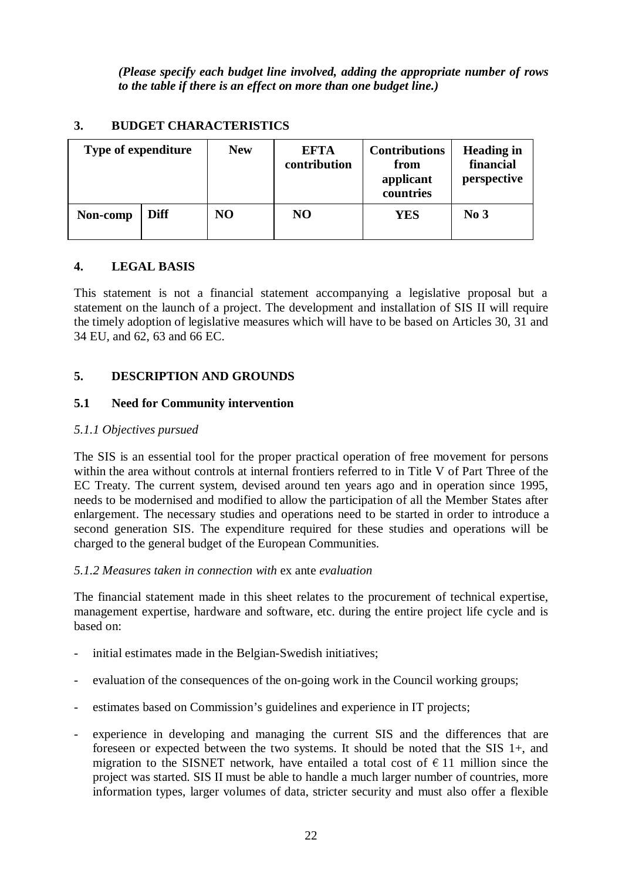*(Please specify each budget line involved, adding the appropriate number of rows to the table if there is an effect on more than one budget line.)*

## **3. BUDGET CHARACTERISTICS**

| <b>Type of expenditure</b> |             | <b>New</b> | <b>EFTA</b><br>contribution | <b>Contributions</b><br>from<br>applicant<br>countries | <b>Heading in</b><br>financial<br>perspective |  |
|----------------------------|-------------|------------|-----------------------------|--------------------------------------------------------|-----------------------------------------------|--|
| Non-comp                   | <b>Diff</b> | NO.        | NO.                         | YES                                                    | No <sub>3</sub>                               |  |

## **4. LEGAL BASIS**

This statement is not a financial statement accompanying a legislative proposal but a statement on the launch of a project. The development and installation of SIS II will require the timely adoption of legislative measures which will have to be based on Articles 30, 31 and 34 EU, and 62, 63 and 66 EC.

## **5. DESCRIPTION AND GROUNDS**

## **5.1 Need for Community intervention**

## *5.1.1 Objectives pursued*

The SIS is an essential tool for the proper practical operation of free movement for persons within the area without controls at internal frontiers referred to in Title V of Part Three of the EC Treaty. The current system, devised around ten years ago and in operation since 1995, needs to be modernised and modified to allow the participation of all the Member States after enlargement. The necessary studies and operations need to be started in order to introduce a second generation SIS. The expenditure required for these studies and operations will be charged to the general budget of the European Communities.

## *5.1.2 Measures taken in connection with* ex ante *evaluation*

The financial statement made in this sheet relates to the procurement of technical expertise, management expertise, hardware and software, etc. during the entire project life cycle and is based on:

- initial estimates made in the Belgian-Swedish initiatives;
- evaluation of the consequences of the on-going work in the Council working groups;
- estimates based on Commission's guidelines and experience in IT projects;
- experience in developing and managing the current SIS and the differences that are foreseen or expected between the two systems. It should be noted that the SIS 1+, and migration to the SISNET network, have entailed a total cost of  $\epsilon$  11 million since the project was started. SIS II must be able to handle a much larger number of countries, more information types, larger volumes of data, stricter security and must also offer a flexible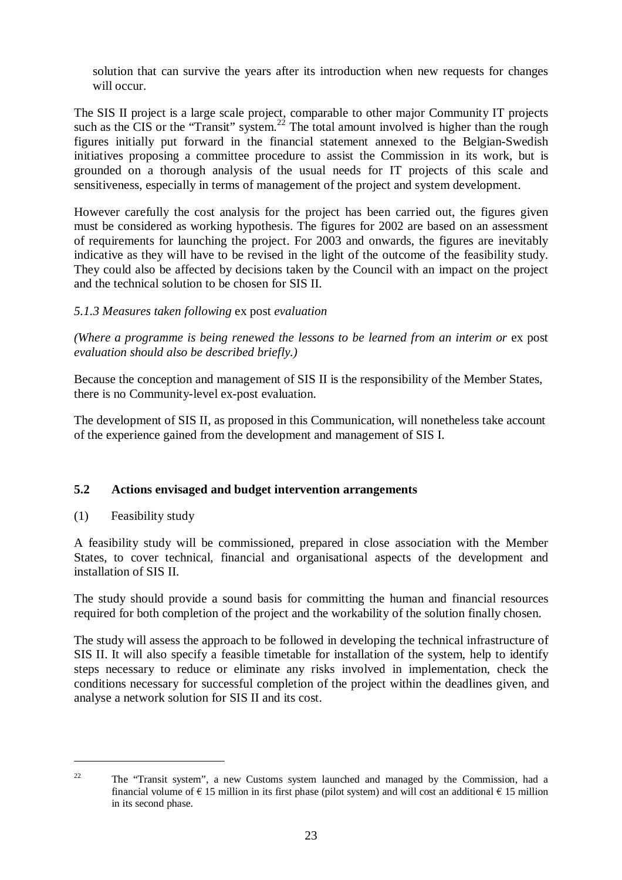solution that can survive the years after its introduction when new requests for changes will occur.

The SIS II project is a large scale project, comparable to other major Community IT projects such as the CIS or the "Transit" system.<sup>22</sup> The total amount involved is higher than the rough figures initially put forward in the financial statement annexed to the Belgian-Swedish initiatives proposing a committee procedure to assist the Commission in its work, but is grounded on a thorough analysis of the usual needs for IT projects of this scale and sensitiveness, especially in terms of management of the project and system development.

However carefully the cost analysis for the project has been carried out, the figures given must be considered as working hypothesis. The figures for 2002 are based on an assessment of requirements for launching the project. For 2003 and onwards, the figures are inevitably indicative as they will have to be revised in the light of the outcome of the feasibility study. They could also be affected by decisions taken by the Council with an impact on the project and the technical solution to be chosen for SIS II.

## *5.1.3 Measures taken following* ex post *evaluation*

*(Where a programme is being renewed the lessons to be learned from an interim or* ex post *evaluation should also be described briefly.)*

Because the conception and management of SIS II is the responsibility of the Member States, there is no Community-level ex-post evaluation.

The development of SIS II, as proposed in this Communication, will nonetheless take account of the experience gained from the development and management of SIS I.

## **5.2 Actions envisaged and budget intervention arrangements**

(1) Feasibility study

A feasibility study will be commissioned, prepared in close association with the Member States, to cover technical, financial and organisational aspects of the development and installation of SIS II.

The study should provide a sound basis for committing the human and financial resources required for both completion of the project and the workability of the solution finally chosen.

The study will assess the approach to be followed in developing the technical infrastructure of SIS II. It will also specify a feasible timetable for installation of the system, help to identify steps necessary to reduce or eliminate any risks involved in implementation, check the conditions necessary for successful completion of the project within the deadlines given, and analyse a network solution for SIS II and its cost.

<sup>&</sup>lt;sup>22</sup> The "Transit system", a new Customs system launched and managed by the Commission, had a financial volume of  $\epsilon$  15 million in its first phase (pilot system) and will cost an additional  $\epsilon$  15 million in its second phase.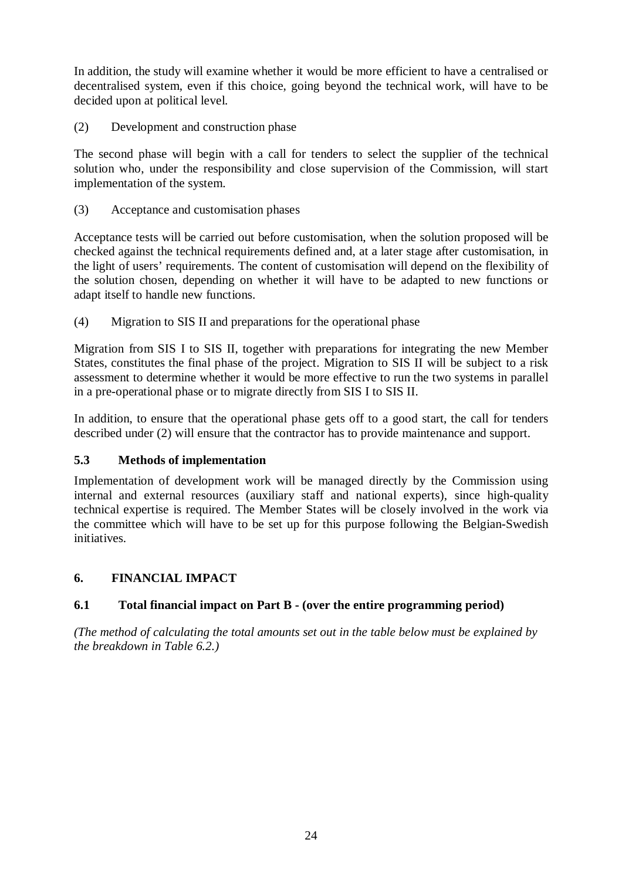In addition, the study will examine whether it would be more efficient to have a centralised or decentralised system, even if this choice, going beyond the technical work, will have to be decided upon at political level.

(2) Development and construction phase

The second phase will begin with a call for tenders to select the supplier of the technical solution who, under the responsibility and close supervision of the Commission, will start implementation of the system.

(3) Acceptance and customisation phases

Acceptance tests will be carried out before customisation, when the solution proposed will be checked against the technical requirements defined and, at a later stage after customisation, in the light of users' requirements. The content of customisation will depend on the flexibility of the solution chosen, depending on whether it will have to be adapted to new functions or adapt itself to handle new functions.

(4) Migration to SIS II and preparations for the operational phase

Migration from SIS I to SIS II, together with preparations for integrating the new Member States, constitutes the final phase of the project. Migration to SIS II will be subject to a risk assessment to determine whether it would be more effective to run the two systems in parallel in a pre-operational phase or to migrate directly from SIS I to SIS II.

In addition, to ensure that the operational phase gets off to a good start, the call for tenders described under (2) will ensure that the contractor has to provide maintenance and support.

## **5.3 Methods of implementation**

Implementation of development work will be managed directly by the Commission using internal and external resources (auxiliary staff and national experts), since high-quality technical expertise is required. The Member States will be closely involved in the work via the committee which will have to be set up for this purpose following the Belgian-Swedish initiatives.

## **6. FINANCIAL IMPACT**

## **6.1 Total financial impact on Part B - (over the entire programming period)**

*(The method of calculating the total amounts set out in the table below must be explained by the breakdown in Table 6.2.)*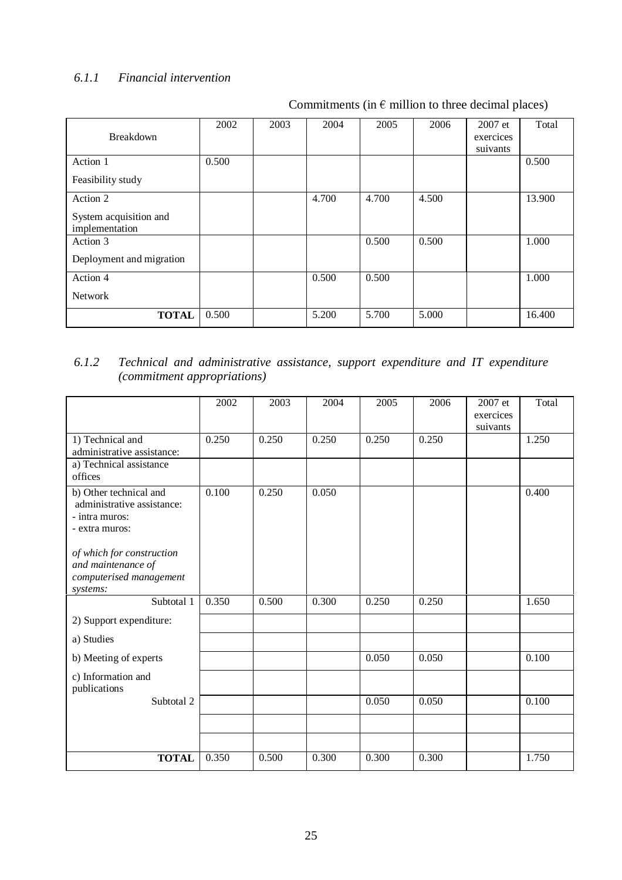## *6.1.1 Financial intervention*

Commitments (in  $\epsilon$  million to three decimal places)

|                          | 2002  | 2003 | 2004  | 2005  | 2006  | $2007$ et | Total  |
|--------------------------|-------|------|-------|-------|-------|-----------|--------|
| <b>Breakdown</b>         |       |      |       |       |       | exercices |        |
|                          |       |      |       |       |       |           |        |
|                          |       |      |       |       |       | suivants  |        |
| Action 1                 | 0.500 |      |       |       |       |           | 0.500  |
| Feasibility study        |       |      |       |       |       |           |        |
| Action 2                 |       |      | 4.700 | 4.700 | 4.500 |           | 13.900 |
| System acquisition and   |       |      |       |       |       |           |        |
| implementation           |       |      |       |       |       |           |        |
|                          |       |      |       |       |       |           |        |
| Action 3                 |       |      |       | 0.500 | 0.500 |           | 1.000  |
|                          |       |      |       |       |       |           |        |
| Deployment and migration |       |      |       |       |       |           |        |
| Action 4                 |       |      | 0.500 | 0.500 |       |           | 1.000  |
|                          |       |      |       |       |       |           |        |
| <b>Network</b>           |       |      |       |       |       |           |        |
| <b>TOTAL</b>             | 0.500 |      | 5.200 | 5.700 | 5.000 |           | 16.400 |
|                          |       |      |       |       |       |           |        |

## *6.1.2 Technical and administrative assistance, support expenditure and IT expenditure (commitment appropriations)*

|                                                      | 2002  | 2003  | 2004  | 2005  | 2006  | 2007 et               | Total |
|------------------------------------------------------|-------|-------|-------|-------|-------|-----------------------|-------|
|                                                      |       |       |       |       |       | exercices<br>suivants |       |
| 1) Technical and                                     | 0.250 | 0.250 | 0.250 | 0.250 | 0.250 |                       | 1.250 |
| administrative assistance:                           |       |       |       |       |       |                       |       |
| a) Technical assistance                              |       |       |       |       |       |                       |       |
| offices                                              |       |       |       |       |       |                       |       |
| b) Other technical and<br>administrative assistance: | 0.100 | 0.250 | 0.050 |       |       |                       | 0.400 |
| - intra muros:                                       |       |       |       |       |       |                       |       |
| - extra muros:                                       |       |       |       |       |       |                       |       |
| of which for construction                            |       |       |       |       |       |                       |       |
| and maintenance of                                   |       |       |       |       |       |                       |       |
| computerised management                              |       |       |       |       |       |                       |       |
| systems:<br>Subtotal 1                               | 0.350 | 0.500 | 0.300 | 0.250 | 0.250 |                       | 1.650 |
|                                                      |       |       |       |       |       |                       |       |
| 2) Support expenditure:                              |       |       |       |       |       |                       |       |
| a) Studies                                           |       |       |       |       |       |                       |       |
| b) Meeting of experts                                |       |       |       | 0.050 | 0.050 |                       | 0.100 |
| c) Information and<br>publications                   |       |       |       |       |       |                       |       |
| Subtotal 2                                           |       |       |       | 0.050 | 0.050 |                       | 0.100 |
|                                                      |       |       |       |       |       |                       |       |
|                                                      |       |       |       |       |       |                       |       |
| <b>TOTAL</b>                                         | 0.350 | 0.500 | 0.300 | 0.300 | 0.300 |                       | 1.750 |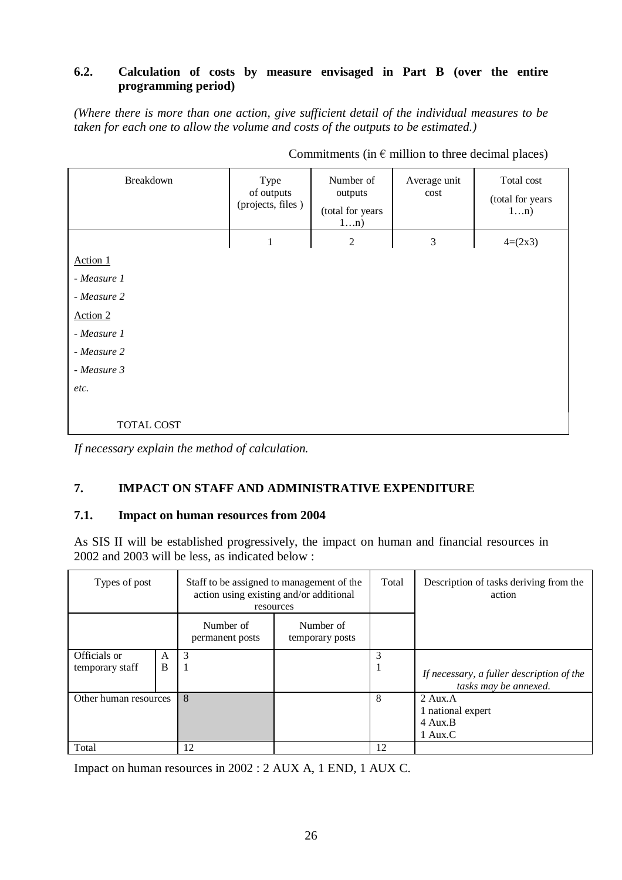## **6.2. Calculation of costs by measure envisaged in Part B (over the entire programming period)**

*(Where there is more than one action, give sufficient detail of the individual measures to be taken for each one to allow the volume and costs of the outputs to be estimated.)*

| Breakdown   | Type<br>of outputs<br>(projects, files) | Number of<br>outputs<br>(total for years<br>1n) | Average unit<br>cost | Total cost<br>(total for years<br>1n) |
|-------------|-----------------------------------------|-------------------------------------------------|----------------------|---------------------------------------|
|             | $\mathbf{1}$                            | $\overline{2}$                                  | $\mathfrak{Z}$       | $4=(2x3)$                             |
| Action 1    |                                         |                                                 |                      |                                       |
| - Measure 1 |                                         |                                                 |                      |                                       |
| - Measure 2 |                                         |                                                 |                      |                                       |
| Action 2    |                                         |                                                 |                      |                                       |
| - Measure 1 |                                         |                                                 |                      |                                       |
| - Measure 2 |                                         |                                                 |                      |                                       |
| - Measure 3 |                                         |                                                 |                      |                                       |
| etc.        |                                         |                                                 |                      |                                       |
|             |                                         |                                                 |                      |                                       |
| TOTAL COST  |                                         |                                                 |                      |                                       |

Commitments (in  $\epsilon$  million to three decimal places)

## **7. IMPACT ON STAFF AND ADMINISTRATIVE EXPENDITURE**

#### **7.1. Impact on human resources from 2004**

As SIS II will be established progressively, the impact on human and financial resources in 2002 and 2003 will be less, as indicated below :

| Types of post         |   |                              | Staff to be assigned to management of the<br>action using existing and/or additional<br>resources | Total | Description of tasks deriving from the<br>action                   |
|-----------------------|---|------------------------------|---------------------------------------------------------------------------------------------------|-------|--------------------------------------------------------------------|
|                       |   | Number of<br>permanent posts | Number of<br>temporary posts                                                                      |       |                                                                    |
| Officials or          | A | 3                            |                                                                                                   | 3     |                                                                    |
| temporary staff       | B |                              |                                                                                                   | 1     | If necessary, a fuller description of the<br>tasks may be annexed. |
| Other human resources |   | 8                            |                                                                                                   | 8     | $2 \text{ Aux} A$                                                  |
|                       |   |                              |                                                                                                   |       | 1 national expert                                                  |
|                       |   |                              |                                                                                                   |       | 4 Aux.B                                                            |
|                       |   |                              |                                                                                                   |       | 1 Aux.C                                                            |
| Total                 |   | 12                           |                                                                                                   | 12    |                                                                    |

Impact on human resources in 2002 : 2 AUX A, 1 END, 1 AUX C.

*If necessary explain the method of calculation.*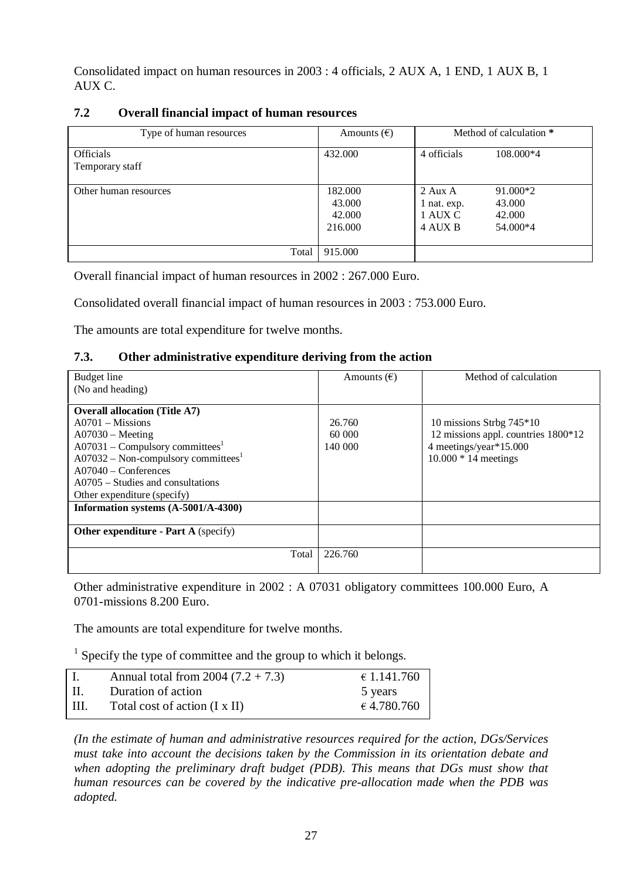Consolidated impact on human resources in 2003 : 4 officials, 2 AUX A, 1 END, 1 AUX B, 1 AUX C.

| 7.2<br><b>Overall financial impact of human resources</b> |  |
|-----------------------------------------------------------|--|
|-----------------------------------------------------------|--|

| Type of human resources             | Amounts $(\epsilon)$                   |                                                | Method of calculation *                  |
|-------------------------------------|----------------------------------------|------------------------------------------------|------------------------------------------|
| <b>Officials</b><br>Temporary staff | 432.000                                | 4 officials                                    | 108.000*4                                |
| Other human resources               | 182.000<br>43.000<br>42.000<br>216.000 | $2$ Aux A<br>1 nat. exp.<br>1 AUX C<br>4 AUX B | 91.000*2<br>43.000<br>42.000<br>54.000*4 |
| Total                               | 915.000                                |                                                |                                          |

Overall financial impact of human resources in 2002 : 267.000 Euro.

Consolidated overall financial impact of human resources in 2003 : 753.000 Euro.

The amounts are total expenditure for twelve months.

## **7.3. Other administrative expenditure deriving from the action**

| Budget line                                 | Amounts $(\epsilon)$ | Method of calculation               |
|---------------------------------------------|----------------------|-------------------------------------|
| (No and heading)                            |                      |                                     |
|                                             |                      |                                     |
| <b>Overall allocation (Title A7)</b>        |                      |                                     |
| $A0701 - Missions$                          | 26.760               | 10 missions Strbg $745*10$          |
| $A07030 - Meeting$                          | 60 000               | 12 missions appl. countries 1800*12 |
| $A07031 - Compulsory committees1$           | 140 000              | 4 meetings/year*15.000              |
| $A07032 - Non-compulsory committees1$       |                      | $10.000 * 14$ meetings              |
| $A07040 - Conferences$                      |                      |                                     |
| $A0705 - Studies$ and consultations         |                      |                                     |
| Other expenditure (specify)                 |                      |                                     |
| Information systems (A-5001/A-4300)         |                      |                                     |
| <b>Other expenditure - Part A (specify)</b> |                      |                                     |
|                                             |                      |                                     |
| Total                                       | 226.760              |                                     |
|                                             |                      |                                     |

Other administrative expenditure in 2002 : A 07031 obligatory committees 100.000 Euro, A 0701-missions 8.200 Euro.

The amounts are total expenditure for twelve months.

 $<sup>1</sup>$  Specify the type of committee and the group to which it belongs.</sup>

|           | Annual total from $2004 (7.2 + 7.3)$ | € 1.141.760 |
|-----------|--------------------------------------|-------------|
| $\prod$ . | Duration of action                   | 5 years     |
| HI.       | Total cost of action (I x II)        | € 4.780.760 |

*(In the estimate of human and administrative resources required for the action, DGs/Services must take into account the decisions taken by the Commission in its orientation debate and when adopting the preliminary draft budget (PDB). This means that DGs must show that human resources can be covered by the indicative pre-allocation made when the PDB was adopted.*